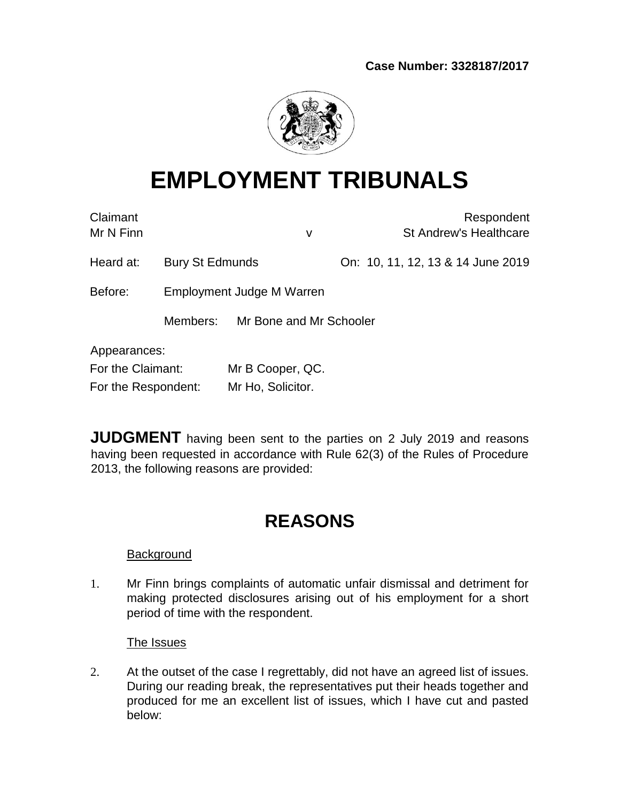

# **EMPLOYMENT TRIBUNALS**

| Claimant<br>Mr N Finn |                 |                           | v | Respondent<br><b>St Andrew's Healthcare</b> |
|-----------------------|-----------------|---------------------------|---|---------------------------------------------|
| Heard at:             | Bury St Edmunds |                           |   | On: 10, 11, 12, 13 & 14 June 2019           |
| Before:               |                 | Employment Judge M Warren |   |                                             |
|                       | Members:        | Mr Bone and Mr Schooler   |   |                                             |
| Appearances:          |                 |                           |   |                                             |
| For the Claimant:     |                 | Mr B Cooper, QC.          |   |                                             |
| For the Respondent:   |                 | Mr Ho, Solicitor.         |   |                                             |

**JUDGMENT** having been sent to the parties on 2 July 2019 and reasons having been requested in accordance with Rule 62(3) of the Rules of Procedure 2013, the following reasons are provided:

# **REASONS**

# **Background**

1. Mr Finn brings complaints of automatic unfair dismissal and detriment for making protected disclosures arising out of his employment for a short period of time with the respondent.

# The Issues

2. At the outset of the case I regrettably, did not have an agreed list of issues. During our reading break, the representatives put their heads together and produced for me an excellent list of issues, which I have cut and pasted below: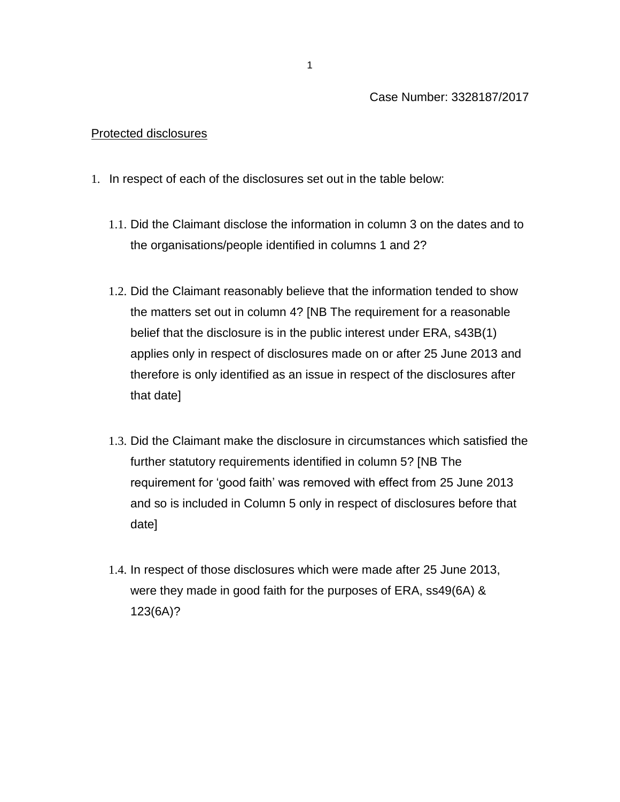### Protected disclosures

- 1. In respect of each of the disclosures set out in the table below:
	- 1.1. Did the Claimant disclose the information in column 3 on the dates and to the organisations/people identified in columns 1 and 2?
	- 1.2. Did the Claimant reasonably believe that the information tended to show the matters set out in column 4? [NB The requirement for a reasonable belief that the disclosure is in the public interest under ERA, s43B(1) applies only in respect of disclosures made on or after 25 June 2013 and therefore is only identified as an issue in respect of the disclosures after that date]
	- 1.3. Did the Claimant make the disclosure in circumstances which satisfied the further statutory requirements identified in column 5? [NB The requirement for 'good faith' was removed with effect from 25 June 2013 and so is included in Column 5 only in respect of disclosures before that date]
	- 1.4. In respect of those disclosures which were made after 25 June 2013, were they made in good faith for the purposes of ERA, ss49(6A) & 123(6A)?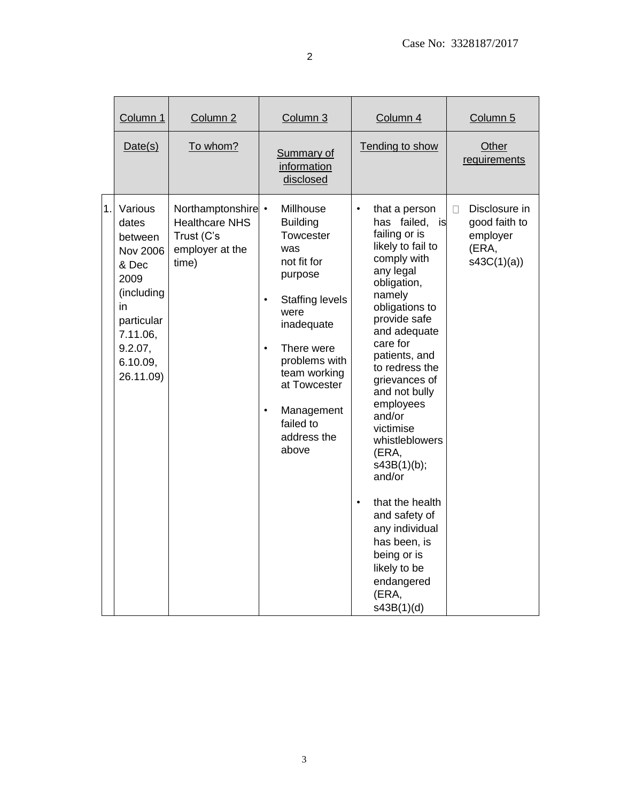|    | Column 1                                                                                                                                          | Column 2                                                                              | Column 3                                                                                                                                                                                                                                                                            | Column 4                                                                                                                                                                                                                                                                                                                                                                                                                                                                                                        | Column 5                                                               |
|----|---------------------------------------------------------------------------------------------------------------------------------------------------|---------------------------------------------------------------------------------------|-------------------------------------------------------------------------------------------------------------------------------------------------------------------------------------------------------------------------------------------------------------------------------------|-----------------------------------------------------------------------------------------------------------------------------------------------------------------------------------------------------------------------------------------------------------------------------------------------------------------------------------------------------------------------------------------------------------------------------------------------------------------------------------------------------------------|------------------------------------------------------------------------|
|    | Date(s)                                                                                                                                           | To whom?                                                                              | <b>Summary of</b><br>information<br>disclosed                                                                                                                                                                                                                                       | Tending to show                                                                                                                                                                                                                                                                                                                                                                                                                                                                                                 | Other<br>requirements                                                  |
| 1. | Various<br>dates<br>between<br><b>Nov 2006</b><br>& Dec<br>2009<br>(including<br>in<br>particular<br>7.11.06,<br>9.2.07,<br>6.10.09,<br>26.11.09) | Northamptonshire •<br><b>Healthcare NHS</b><br>Trust (C's<br>employer at the<br>time) | Millhouse<br><b>Building</b><br>Towcester<br>was<br>not fit for<br>purpose<br><b>Staffing levels</b><br>$\bullet$<br>were<br>inadequate<br>There were<br>$\bullet$<br>problems with<br>team working<br>at Towcester<br>Management<br>$\bullet$<br>failed to<br>address the<br>above | that a person<br>has failed,<br>is<br>failing or is<br>likely to fail to<br>comply with<br>any legal<br>obligation,<br>namely<br>obligations to<br>provide safe<br>and adequate<br>care for<br>patients, and<br>to redress the<br>grievances of<br>and not bully<br>employees<br>and/or<br>victimise<br>whistleblowers<br>(ERA,<br>s43B(1)(b);<br>and/or<br>that the health<br>$\bullet$<br>and safety of<br>any individual<br>has been, is<br>being or is<br>likely to be<br>endangered<br>(ERA,<br>s43B(1)(d) | Disclosure in<br>П<br>good faith to<br>employer<br>(ERA,<br>s43C(1)(a) |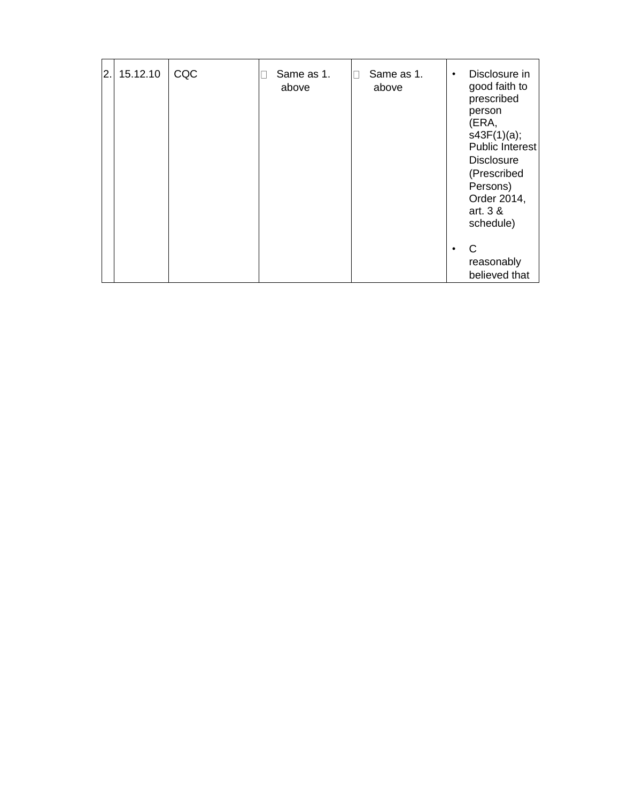| 2. | 15.12.10 | CQC | Same as 1.<br>above | П | Same as 1.<br>above | ٠ | Disclosure in<br>good faith to<br>prescribed<br>person<br>(ERA,<br>s43F(1)(a);<br>Public Interest<br><b>Disclosure</b><br>(Prescribed<br>Persons)<br>Order 2014,<br>art. 3 &<br>schedule) |
|----|----------|-----|---------------------|---|---------------------|---|-------------------------------------------------------------------------------------------------------------------------------------------------------------------------------------------|
|    |          |     |                     |   |                     |   | C<br>reasonably<br>believed that                                                                                                                                                          |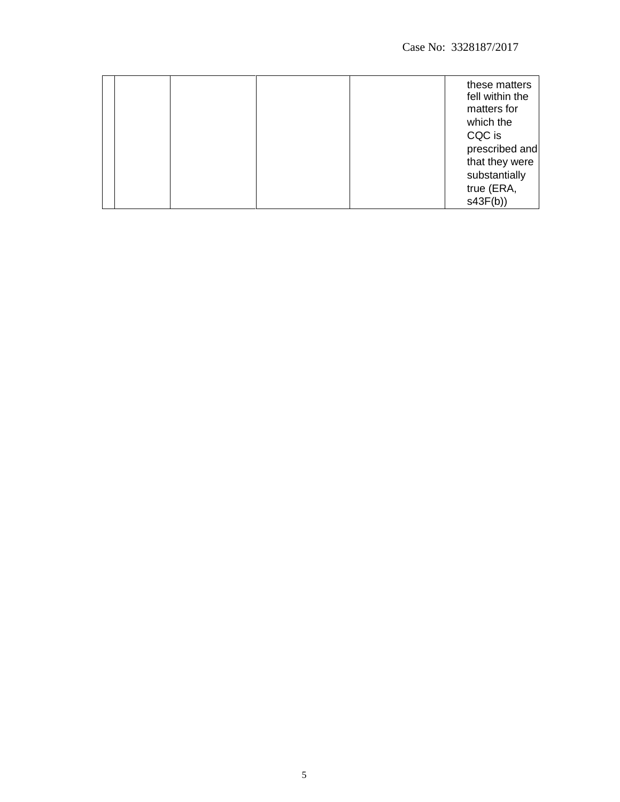|  |  | these matters<br>fell within the<br>matters for<br>which the<br>CQC is<br>prescribed and<br>that they were<br>substantially<br>true (ERA, |
|--|--|-------------------------------------------------------------------------------------------------------------------------------------------|
|  |  | s43F(b)                                                                                                                                   |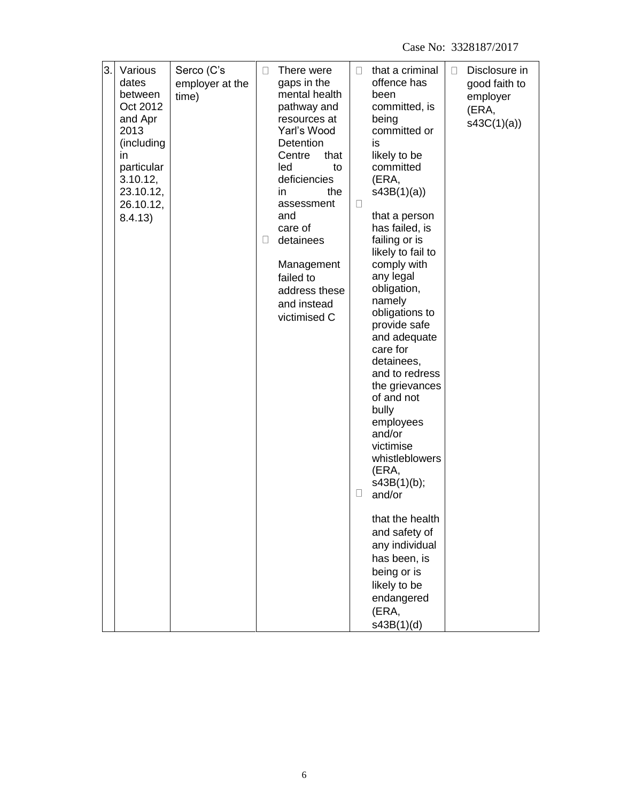| 3. | Various                                                                                                                             |                                        | П | There were                                                                                                                                                                                                                                                                  | П           | that a criminal                                                                                                                                                                                                                                                                                                                                                                                                                                                                                                                                                                                                                | $\Box$ | Disclosure in                                    |
|----|-------------------------------------------------------------------------------------------------------------------------------------|----------------------------------------|---|-----------------------------------------------------------------------------------------------------------------------------------------------------------------------------------------------------------------------------------------------------------------------------|-------------|--------------------------------------------------------------------------------------------------------------------------------------------------------------------------------------------------------------------------------------------------------------------------------------------------------------------------------------------------------------------------------------------------------------------------------------------------------------------------------------------------------------------------------------------------------------------------------------------------------------------------------|--------|--------------------------------------------------|
|    | dates<br>between<br>Oct 2012<br>and Apr<br>2013<br>(including<br>in.<br>particular<br>3.10.12,<br>23.10.12,<br>26.10.12,<br>8.4.13) | Serco (C's<br>employer at the<br>time) | ⊔ | gaps in the<br>mental health<br>pathway and<br>resources at<br>Yarl's Wood<br>Detention<br>that<br>Centre<br>led<br>to<br>deficiencies<br>the<br>in<br>assessment<br>and<br>care of<br>detainees<br>Management<br>failed to<br>address these<br>and instead<br>victimised C | $\Box$<br>u | offence has<br>been<br>committed, is<br>being<br>committed or<br>is<br>likely to be<br>committed<br>(ERA,<br>s43B(1)(a)<br>that a person<br>has failed, is<br>failing or is<br>likely to fail to<br>comply with<br>any legal<br>obligation,<br>namely<br>obligations to<br>provide safe<br>and adequate<br>care for<br>detainees,<br>and to redress<br>the grievances<br>of and not<br>bully<br>employees<br>and/or<br>victimise<br>whistleblowers<br>(ERA,<br>s43B(1)(b);<br>and/or<br>that the health<br>and safety of<br>any individual<br>has been, is<br>being or is<br>likely to be<br>endangered<br>(ERA,<br>s43B(1)(d) |        | good faith to<br>employer<br>(ERA,<br>s43C(1)(a) |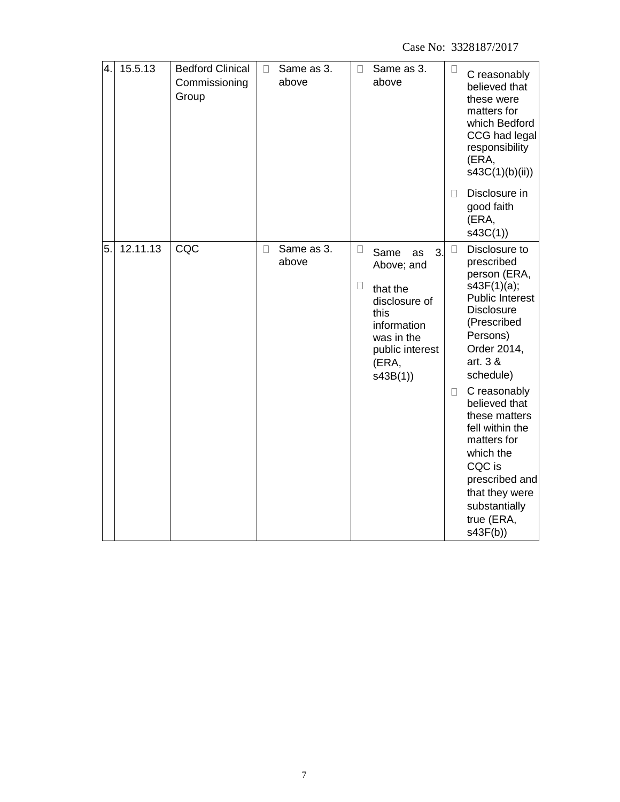| 4. | 15.5.13  | <b>Bedford Clinical</b><br>Commissioning<br>Group | П | Same as 3.<br>above | П                | Same as 3.<br>above                                                                                                                     | $\Box$<br>П      | C reasonably<br>believed that<br>these were<br>matters for<br>which Bedford<br>CCG had legal<br>responsibility<br>(ERA,<br>s43C(1)(b)(ii))<br>Disclosure in<br>good faith<br>(ERA,<br>s43C(1)                                                                                                                                                                         |
|----|----------|---------------------------------------------------|---|---------------------|------------------|-----------------------------------------------------------------------------------------------------------------------------------------|------------------|-----------------------------------------------------------------------------------------------------------------------------------------------------------------------------------------------------------------------------------------------------------------------------------------------------------------------------------------------------------------------|
| 5. | 12.11.13 | CQC                                               | П | Same as 3.<br>above | $\Box$<br>$\Box$ | 3.<br>Same<br>as<br>Above; and<br>that the<br>disclosure of<br>this<br>information<br>was in the<br>public interest<br>(ERA,<br>s43B(1) | $\Box$<br>$\Box$ | Disclosure to<br>prescribed<br>person (ERA,<br>s43F(1)(a);<br><b>Public Interest</b><br><b>Disclosure</b><br>(Prescribed<br>Persons)<br>Order 2014,<br>art. 3 &<br>schedule)<br>C reasonably<br>believed that<br>these matters<br>fell within the<br>matters for<br>which the<br>CQC is<br>prescribed and<br>that they were<br>substantially<br>true (ERA,<br>s43F(b) |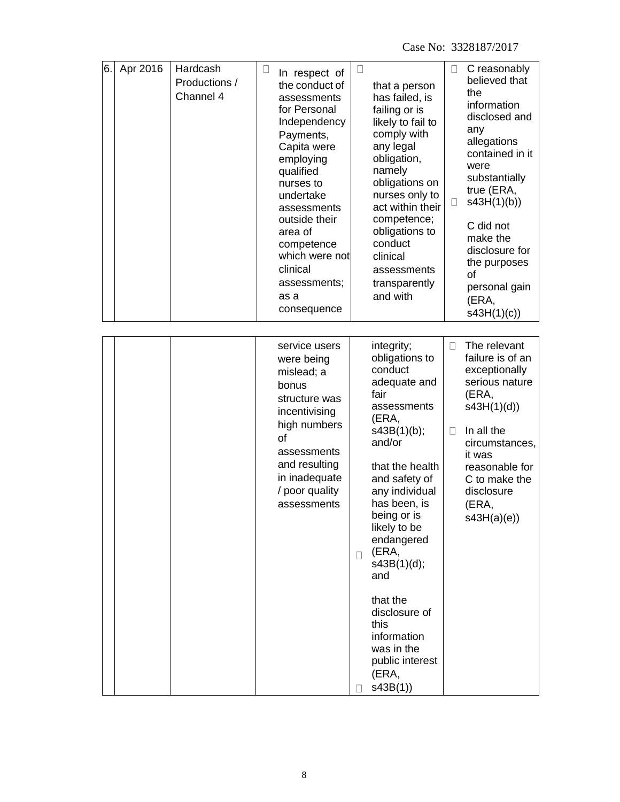| 6. | Apr 2016 | Hardcash<br>Productions /<br>Channel 4 | ⊔ | In respect of<br>the conduct of<br>assessments<br>for Personal<br>Independency<br>Payments,<br>Capita were<br>employing<br>qualified<br>nurses to<br>undertake<br>assessments<br>outside their<br>area of<br>competence<br>which were not<br>clinical<br>assessments;<br>as a<br>consequence | u           | that a person<br>has failed, is<br>failing or is<br>likely to fail to<br>comply with<br>any legal<br>obligation,<br>namely<br>obligations on<br>nurses only to<br>act within their<br>competence;<br>obligations to<br>conduct<br>clinical<br>assessments<br>transparently<br>and with                                                                                      | □<br>u | C reasonably<br>believed that<br>the<br>information<br>disclosed and<br>any<br>allegations<br>contained in it<br>were<br>substantially<br>true (ERA,<br>s43H(1)(b)<br>C did not<br>make the<br>disclosure for<br>the purposes<br>οf<br>personal gain<br>(ERA,<br>s43H(1)(c) |
|----|----------|----------------------------------------|---|----------------------------------------------------------------------------------------------------------------------------------------------------------------------------------------------------------------------------------------------------------------------------------------------|-------------|-----------------------------------------------------------------------------------------------------------------------------------------------------------------------------------------------------------------------------------------------------------------------------------------------------------------------------------------------------------------------------|--------|-----------------------------------------------------------------------------------------------------------------------------------------------------------------------------------------------------------------------------------------------------------------------------|
|    |          |                                        |   | service users<br>were being<br>mislead; a<br>bonus<br>structure was<br>incentivising<br>high numbers<br>οf<br>assessments<br>and resulting<br>in inadequate<br>/ poor quality<br>assessments                                                                                                 | $\Box$<br>П | integrity;<br>obligations to<br>conduct<br>adequate and<br>fair<br>assessments<br>(ERA,<br>s43B(1)(b);<br>and/or<br>that the health<br>and safety of<br>any individual<br>has been, is<br>being or is<br>likely to be<br>endangered<br>(ERA,<br>s43B(1)(d);<br>and<br>that the<br>disclosure of<br>this<br>information<br>was in the<br>public interest<br>(ERA,<br>s43B(1) | П<br>П | The relevant<br>failure is of an<br>exceptionally<br>serious nature<br>(ERA,<br>s43H(1)(d)<br>In all the<br>circumstances,<br>it was<br>reasonable for<br>C to make the<br>disclosure<br>(ERA,<br>s43H(a)(e)                                                                |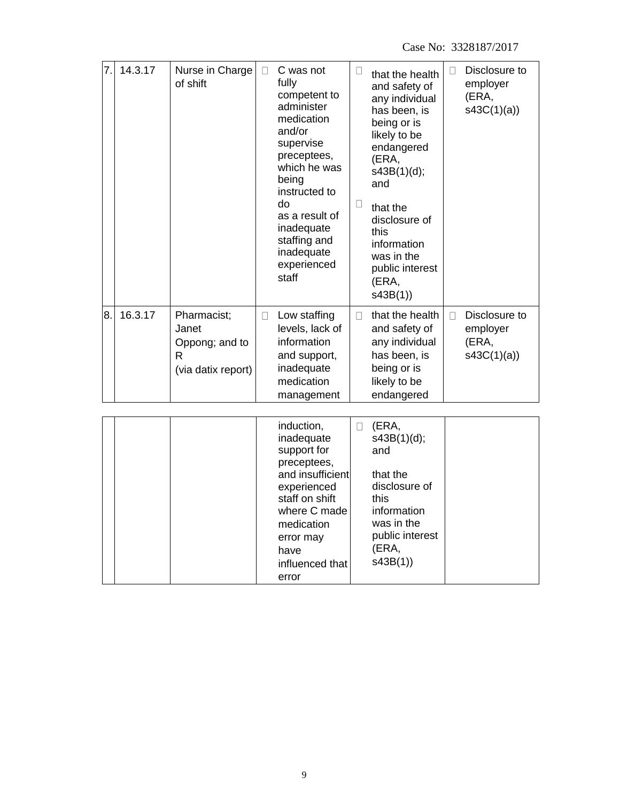| 7. | 14.3.17 | Nurse in Charge<br>of shift                                       | П      | C was not<br>fully<br>competent to<br>administer<br>medication<br>and/or<br>supervise<br>preceptees,<br>which he was<br>being<br>instructed to<br>do<br>as a result of<br>inadequate<br>staffing and<br>inadequate<br>experienced<br>staff | U<br>$\Box$ | that the health<br>and safety of<br>any individual<br>has been, is<br>being or is<br>likely to be<br>endangered<br>(ERA,<br>s43B(1)(d);<br>and<br>that the<br>disclosure of<br>this<br>information<br>was in the<br>public interest<br>(ERA,<br>s43B(1) | $\Box$ | Disclosure to<br>employer<br>(ERA,<br>s43C(1)(a) |
|----|---------|-------------------------------------------------------------------|--------|--------------------------------------------------------------------------------------------------------------------------------------------------------------------------------------------------------------------------------------------|-------------|---------------------------------------------------------------------------------------------------------------------------------------------------------------------------------------------------------------------------------------------------------|--------|--------------------------------------------------|
| 8. | 16.3.17 | Pharmacist;<br>Janet<br>Oppong; and to<br>R<br>(via datix report) | $\Box$ | Low staffing<br>levels, lack of<br>information<br>and support,<br>inadequate<br>medication<br>management                                                                                                                                   | П           | that the health<br>and safety of<br>any individual<br>has been, is<br>being or is<br>likely to be<br>endangered                                                                                                                                         | $\Box$ | Disclosure to<br>employer<br>(ERA,<br>s43C(1)(a) |
|    |         |                                                                   |        | induction,<br>inadequate<br>support for<br>preceptees,<br>and insufficient<br>experienced<br>staff on shift<br>where C made<br>medication<br>error may<br>have<br>influenced that<br>error                                                 | $\Box$      | (ERA,<br>s43B(1)(d);<br>and<br>that the<br>disclosure of<br>this<br>information<br>was in the<br>public interest<br>(ERA,<br>s43B(1))                                                                                                                   |        |                                                  |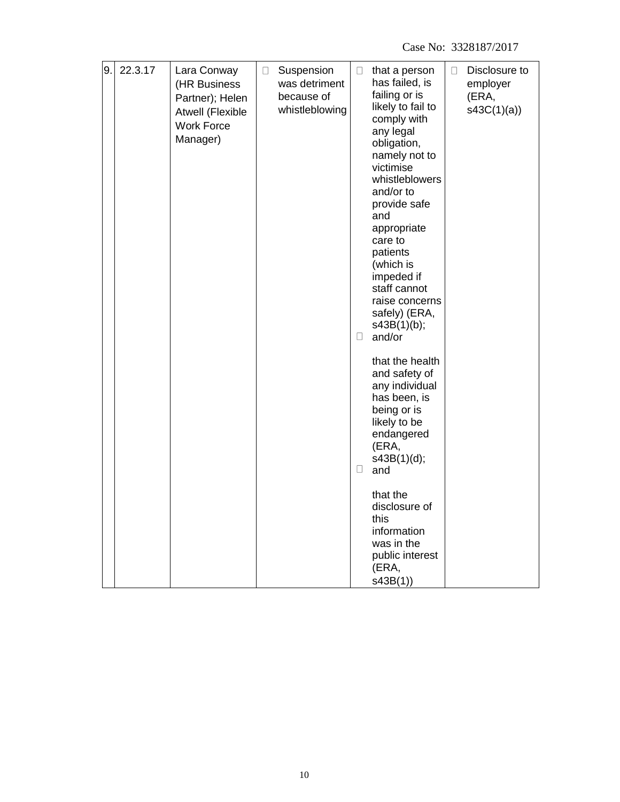| 9. | 22.3.17 | Lara Conway<br>(HR Business<br>Partner); Helen<br>Atwell (Flexible<br><b>Work Force</b><br>Manager) | $\Box$ | Suspension<br>was detriment<br>because of<br>whistleblowing | $\Box$ | that a person<br>has failed, is<br>failing or is<br>likely to fail to<br>comply with<br>any legal<br>obligation,<br>namely not to<br>victimise<br>whistleblowers<br>and/or to<br>provide safe<br>and<br>appropriate<br>care to | $\Box$ | Disclosure to<br>employer<br>(ERA,<br>s43C(1)(a) |
|----|---------|-----------------------------------------------------------------------------------------------------|--------|-------------------------------------------------------------|--------|--------------------------------------------------------------------------------------------------------------------------------------------------------------------------------------------------------------------------------|--------|--------------------------------------------------|
|    |         |                                                                                                     |        |                                                             | $\Box$ | patients<br>(which is<br>impeded if<br>staff cannot<br>raise concerns<br>safely) (ERA,<br>s43B(1)(b);<br>and/or                                                                                                                |        |                                                  |
|    |         |                                                                                                     |        |                                                             | $\Box$ | that the health<br>and safety of<br>any individual<br>has been, is<br>being or is<br>likely to be<br>endangered<br>(ERA,<br>s43B(1)(d);<br>and                                                                                 |        |                                                  |
|    |         |                                                                                                     |        |                                                             |        | that the<br>disclosure of<br>this<br>information<br>was in the<br>public interest<br>(ERA,<br>s43B(1)                                                                                                                          |        |                                                  |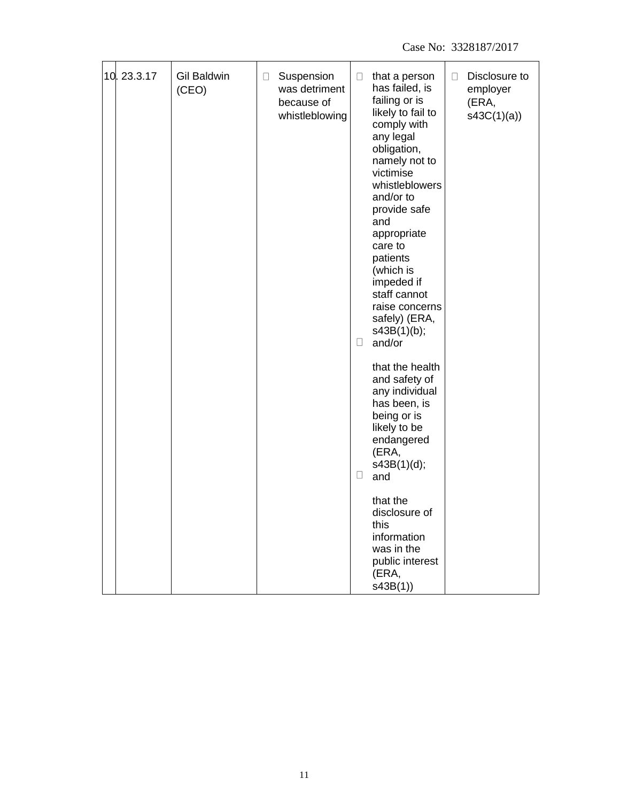| 10.23.3.17 | (CEO) | <b>Gil Baldwin</b> | $\Box$ | Suspension<br>was detriment<br>because of<br>whistleblowing | $\Box$<br>U | that a person<br>has failed, is<br>failing or is<br>likely to fail to<br>comply with<br>any legal<br>obligation,<br>namely not to<br>victimise<br>whistleblowers<br>and/or to<br>provide safe<br>and<br>appropriate<br>care to<br>patients<br>(which is<br>impeded if<br>staff cannot<br>raise concerns<br>safely) (ERA,<br>s43B(1)(b);<br>and/or | $\Box$ | Disclosure to<br>employer<br>(ERA,<br>s43C(1)(a) |
|------------|-------|--------------------|--------|-------------------------------------------------------------|-------------|---------------------------------------------------------------------------------------------------------------------------------------------------------------------------------------------------------------------------------------------------------------------------------------------------------------------------------------------------|--------|--------------------------------------------------|
|            |       |                    |        |                                                             | $\Box$      | that the health<br>and safety of<br>any individual<br>has been, is<br>being or is<br>likely to be<br>endangered<br>(ERA,<br>s43B(1)(d);<br>and                                                                                                                                                                                                    |        |                                                  |
|            |       |                    |        |                                                             |             | that the<br>disclosure of<br>this<br>information<br>was in the<br>public interest<br>(ERA,<br>s43B(1)                                                                                                                                                                                                                                             |        |                                                  |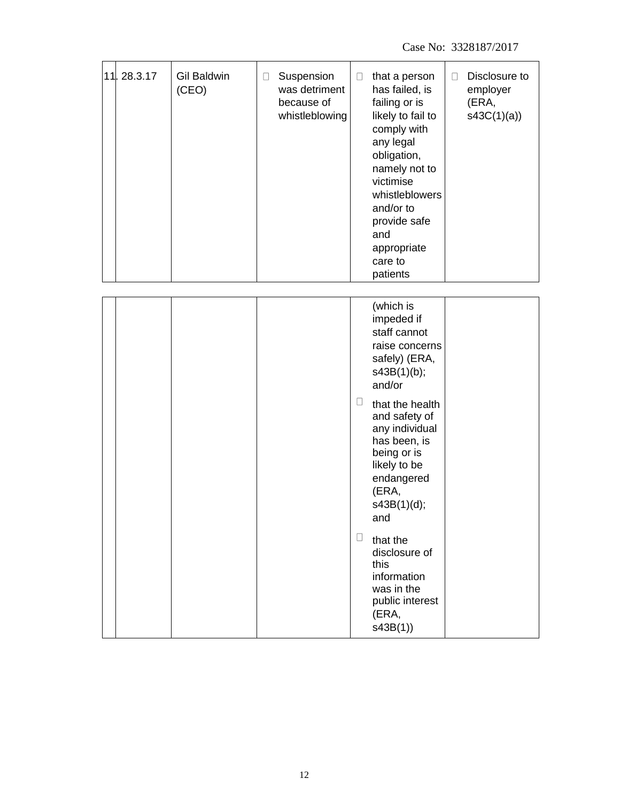Case No: 3328187/2017

| 11.28.3.17 | Gil Baldwin<br>(CEO) | Suspension<br>$\Box$<br>was detriment<br>because of<br>whistleblowing | $\Box$<br>that a person<br>has failed, is<br>failing or is<br>likely to fail to<br>comply with<br>any legal<br>obligation,<br>namely not to<br>victimise<br>whistleblowers<br>and/or to<br>provide safe<br>and<br>appropriate<br>care to<br>patients                                                                                                                     | Disclosure to<br>$\Box$<br>employer<br>(ERA,<br>s43C(1)(a) |
|------------|----------------------|-----------------------------------------------------------------------|--------------------------------------------------------------------------------------------------------------------------------------------------------------------------------------------------------------------------------------------------------------------------------------------------------------------------------------------------------------------------|------------------------------------------------------------|
|            |                      |                                                                       | (which is<br>impeded if<br>staff cannot<br>raise concerns<br>safely) (ERA,<br>s43B(1)(b);<br>and/or<br>⊔<br>that the health<br>and safety of<br>any individual<br>has been, is<br>being or is<br>likely to be<br>endangered<br>(ERA,<br>s43B(1)(d);<br>and<br>u<br>that the<br>disclosure of<br>this<br>information<br>was in the<br>public interest<br>(ERA,<br>s43B(1) |                                                            |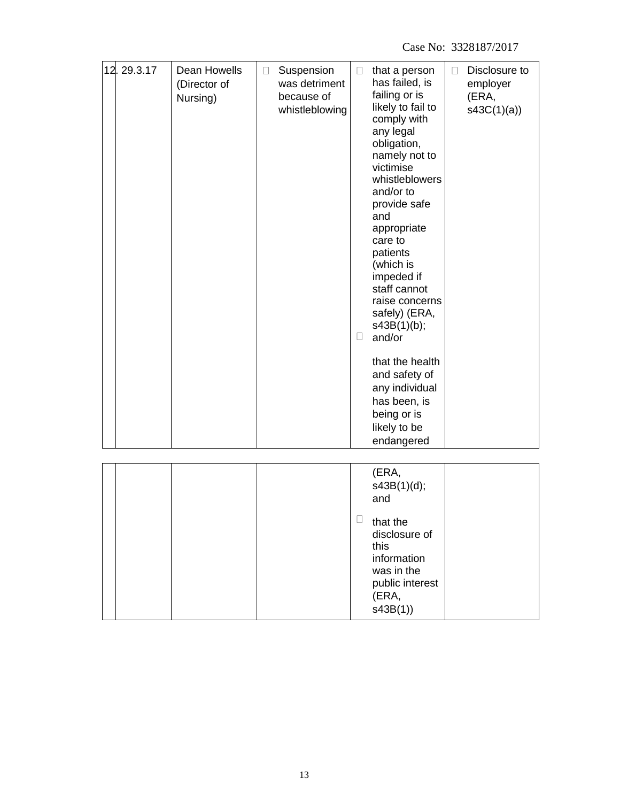Case No: 3328187/2017

| 12.29.3.17 | Dean Howells<br>(Director of<br>Nursing) | Suspension<br>$\Box$<br>was detriment<br>because of<br>whistleblowing | that a person<br>$\Box$<br>has failed, is<br>failing or is<br>likely to fail to<br>comply with<br>any legal<br>obligation,<br>namely not to<br>victimise<br>whistleblowers<br>and/or to<br>provide safe<br>and<br>appropriate<br>care to<br>patients<br>(which is<br>impeded if<br>staff cannot<br>raise concerns<br>safely) (ERA,<br>s43B(1)(b);<br>$\Box$<br>and/or<br>that the health<br>and safety of<br>any individual<br>has been, is<br>being or is<br>likely to be<br>endangered | Disclosure to<br>$\Box$<br>employer<br>(ERA,<br>s43C(1)(a) |
|------------|------------------------------------------|-----------------------------------------------------------------------|------------------------------------------------------------------------------------------------------------------------------------------------------------------------------------------------------------------------------------------------------------------------------------------------------------------------------------------------------------------------------------------------------------------------------------------------------------------------------------------|------------------------------------------------------------|
|            |                                          |                                                                       | (ERA,<br>s43B(1)(d);<br>and<br>$\Box$<br>that the<br>disclosure of<br>this<br>information<br>was in the<br>public interest<br>(ERA,<br>s43B(1)                                                                                                                                                                                                                                                                                                                                           |                                                            |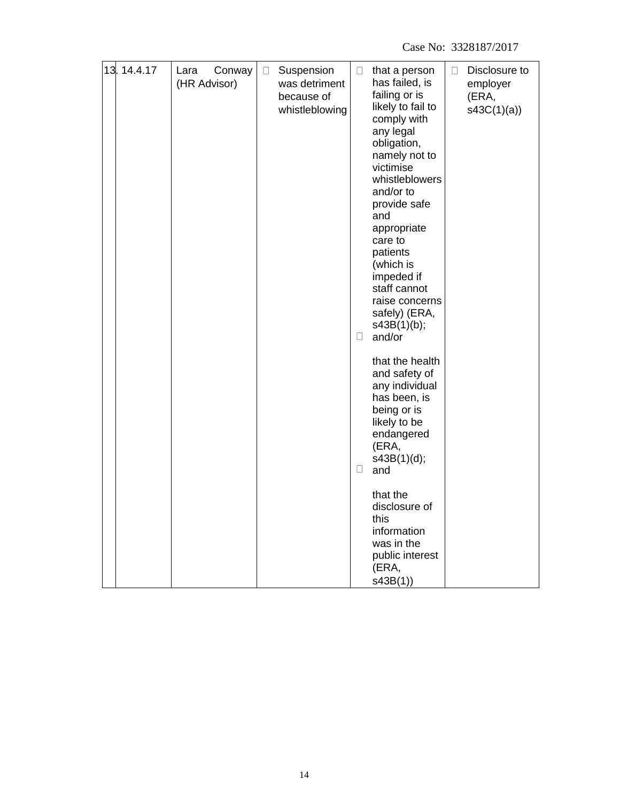Case No: 3328187/2017

| 13.14.4.17 | Conway<br>Lara | $\Box$ | Suspension                                    | $\Box$ | that a person                                                                                                                                                                                                                                                                                                                    | $\Box$ | Disclosure to                   |
|------------|----------------|--------|-----------------------------------------------|--------|----------------------------------------------------------------------------------------------------------------------------------------------------------------------------------------------------------------------------------------------------------------------------------------------------------------------------------|--------|---------------------------------|
|            | (HR Advisor)   |        | was detriment<br>because of<br>whistleblowing | $\Box$ | has failed, is<br>failing or is<br>likely to fail to<br>comply with<br>any legal<br>obligation,<br>namely not to<br>victimise<br>whistleblowers<br>and/or to<br>provide safe<br>and<br>appropriate<br>care to<br>patients<br>(which is<br>impeded if<br>staff cannot<br>raise concerns<br>safely) (ERA,<br>s43B(1)(b);<br>and/or |        | employer<br>(ERA,<br>s43C(1)(a) |
|            |                |        |                                               | $\Box$ | that the health<br>and safety of<br>any individual<br>has been, is<br>being or is<br>likely to be<br>endangered<br>(ERA,<br>s43B(1)(d);<br>and                                                                                                                                                                                   |        |                                 |
|            |                |        |                                               |        | that the<br>disclosure of<br>this<br>information<br>was in the<br>public interest<br>(ERA,<br>s43B(1)                                                                                                                                                                                                                            |        |                                 |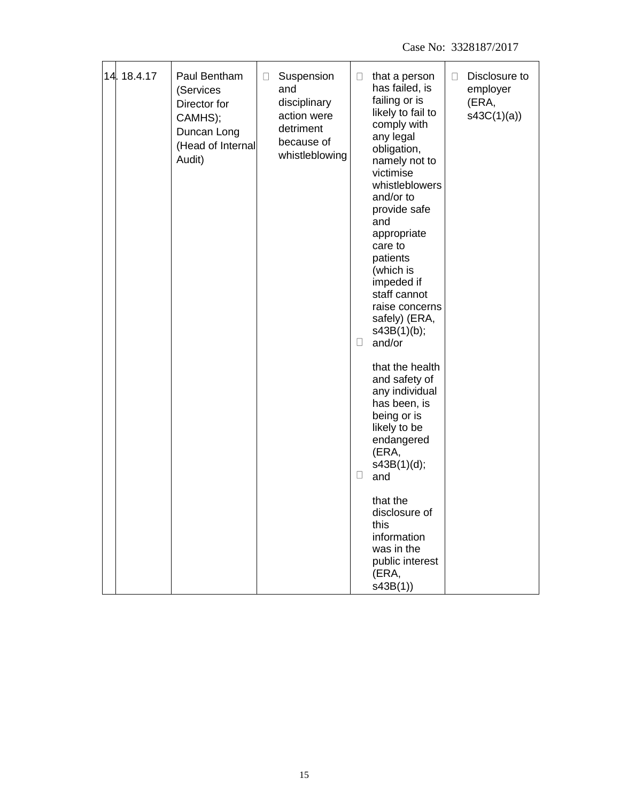| 14.18.4.17 | Paul Bentham<br>(Services<br>Director for<br>CAMHS);<br>Duncan Long<br>(Head of Internal<br>Audit) | Suspension<br>$\Box$<br>and<br>disciplinary<br>action were<br>detriment<br>because of<br>whistleblowing | Disclosure to<br>that a person<br>П<br>□<br>has failed, is<br>employer<br>failing or is<br>(ERA,<br>likely to fail to<br>s43C(1)(a)<br>comply with<br>any legal<br>obligation,<br>namely not to<br>victimise<br>whistleblowers<br>and/or to<br>provide safe<br>and<br>appropriate<br>care to<br>patients<br>(which is<br>impeded if<br>staff cannot<br>raise concerns<br>safely) (ERA,<br>s43B(1)(b);<br>and/or<br>O |
|------------|----------------------------------------------------------------------------------------------------|---------------------------------------------------------------------------------------------------------|----------------------------------------------------------------------------------------------------------------------------------------------------------------------------------------------------------------------------------------------------------------------------------------------------------------------------------------------------------------------------------------------------------------------|
|            |                                                                                                    |                                                                                                         | that the health<br>and safety of<br>any individual<br>has been, is<br>being or is<br>likely to be<br>endangered<br>(ERA,<br>s43B(1)(d);<br>$\Box$<br>and                                                                                                                                                                                                                                                             |
|            |                                                                                                    |                                                                                                         | that the<br>disclosure of<br>this<br>information<br>was in the<br>public interest<br>(ERA,<br>s43B(1)                                                                                                                                                                                                                                                                                                                |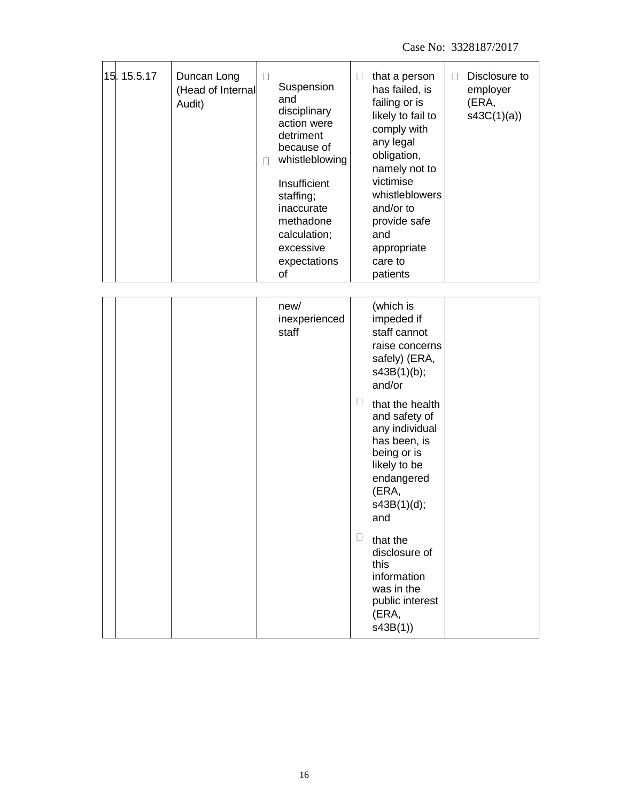| 15.15.5.17 | Duncan Long<br>(Head of Internal<br>Audit) | $\Box$<br>П | Suspension<br>and<br>disciplinary<br>action were<br>detriment<br>because of<br>whistleblowing<br>Insufficient<br>staffing;<br>inaccurate<br>methadone<br>calculation;<br>excessive<br>expectations<br>οf | П      | that a person<br>has failed, is<br>failing or is<br>likely to fail to<br>comply with<br>any legal<br>obligation,<br>namely not to<br>victimise<br>whistleblowers<br>and/or to<br>provide safe<br>and<br>appropriate<br>care to<br>patients                                                                                                                     | П | Disclosure to<br>employer<br>(ERA,<br>s43C(1)(a) |
|------------|--------------------------------------------|-------------|----------------------------------------------------------------------------------------------------------------------------------------------------------------------------------------------------------|--------|----------------------------------------------------------------------------------------------------------------------------------------------------------------------------------------------------------------------------------------------------------------------------------------------------------------------------------------------------------------|---|--------------------------------------------------|
|            |                                            |             | new/<br>inexperienced<br>staff                                                                                                                                                                           | ⊔<br>Ш | (which is<br>impeded if<br>staff cannot<br>raise concerns<br>safely) (ERA,<br>s43B(1)(b);<br>and/or<br>that the health<br>and safety of<br>any individual<br>has been, is<br>being or is<br>likely to be<br>endangered<br>(ERA,<br>s43B(1)(d);<br>and<br>that the<br>disclosure of<br>this<br>information<br>was in the<br>public interest<br>(ERA,<br>s43B(1) |   |                                                  |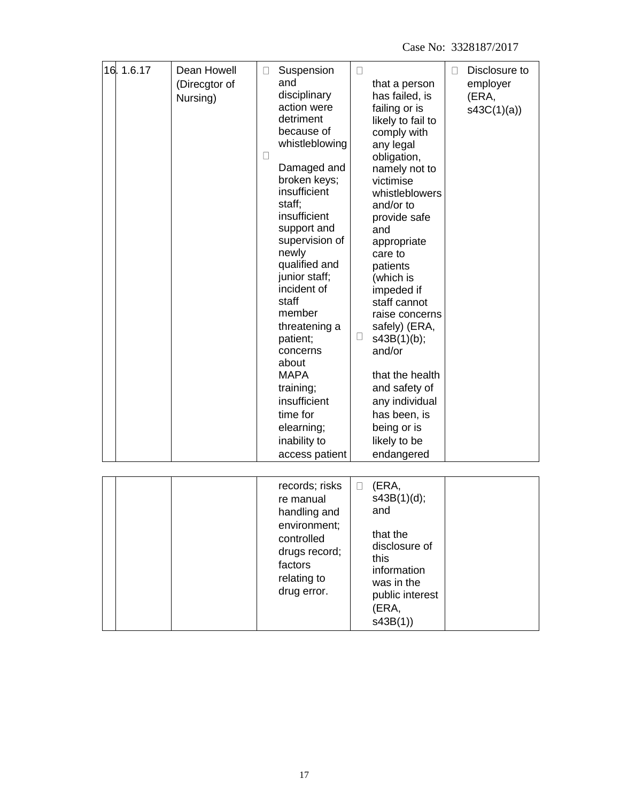| 16.1.6.17 | Dean Howell<br>(Direcgtor of<br>Nursing) | $\Box$<br>$\Box$ | Suspension<br>and<br>disciplinary<br>action were<br>detriment<br>because of<br>whistleblowing<br>Damaged and<br>broken keys;<br>insufficient<br>staff;<br>insufficient<br>support and<br>supervision of<br>newly<br>qualified and<br>junior staff;<br>incident of<br>staff<br>member<br>threatening a<br>patient;<br>concerns<br>about<br><b>MAPA</b><br>training;<br>insufficient<br>time for<br>elearning;<br>inability to<br>access patient | $\Box$<br>$\Box$ | that a person<br>has failed, is<br>failing or is<br>likely to fail to<br>comply with<br>any legal<br>obligation,<br>namely not to<br>victimise<br>whistleblowers<br>and/or to<br>provide safe<br>and<br>appropriate<br>care to<br>patients<br>(which is<br>impeded if<br>staff cannot<br>raise concerns<br>safely) (ERA,<br>s43B(1)(b);<br>and/or<br>that the health<br>and safety of<br>any individual<br>has been, is<br>being or is<br>likely to be<br>endangered | $\Box$ | Disclosure to<br>employer<br>(ERA,<br>s43C(1)(a) |
|-----------|------------------------------------------|------------------|------------------------------------------------------------------------------------------------------------------------------------------------------------------------------------------------------------------------------------------------------------------------------------------------------------------------------------------------------------------------------------------------------------------------------------------------|------------------|----------------------------------------------------------------------------------------------------------------------------------------------------------------------------------------------------------------------------------------------------------------------------------------------------------------------------------------------------------------------------------------------------------------------------------------------------------------------|--------|--------------------------------------------------|
|           |                                          |                  | records; risks<br>re manual<br>handling and<br>environment;<br>controlled<br>drugs record;<br>factors<br>relating to<br>drug error.                                                                                                                                                                                                                                                                                                            | $\Box$           | (ERA,<br>s43B(1)(d);<br>and<br>that the<br>disclosure of<br>this<br>information<br>was in the<br>public interest<br>(ERA,<br>s43B(1)                                                                                                                                                                                                                                                                                                                                 |        |                                                  |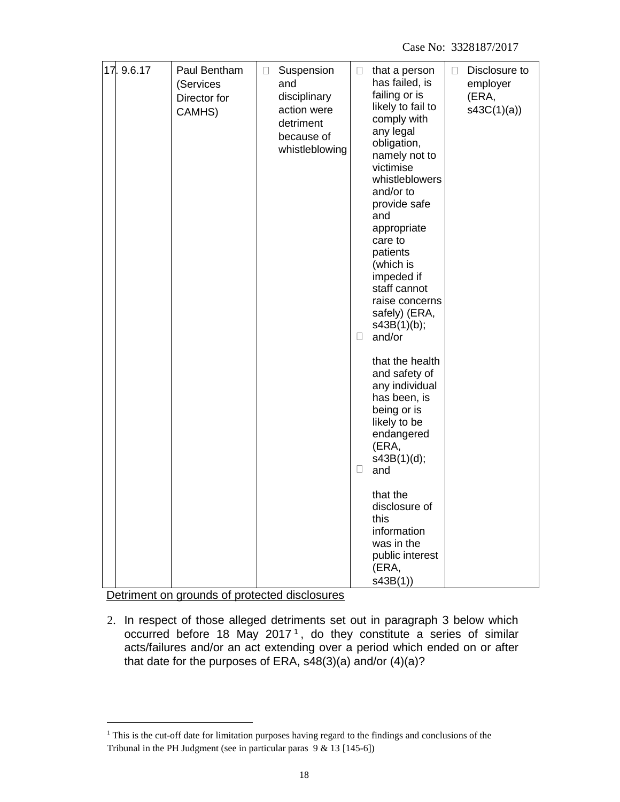| 17.9.6.17 | Paul Bentham<br>(Services<br>Director for<br>CAMHS) | $\Box$ | Suspension<br>and<br>disciplinary<br>action were<br>detriment<br>because of<br>whistleblowing | $\Box$<br>$\Box$<br>u | that a person<br>has failed, is<br>failing or is<br>likely to fail to<br>comply with<br>any legal<br>obligation,<br>namely not to<br>victimise<br>whistleblowers<br>and/or to<br>provide safe<br>and<br>appropriate<br>care to<br>patients<br>(which is<br>impeded if<br>staff cannot<br>raise concerns<br>safely) (ERA,<br>s43B(1)(b);<br>and/or<br>that the health<br>and safety of<br>any individual<br>has been, is<br>being or is<br>likely to be<br>endangered<br>(ERA,<br>s43B(1)(d);<br>and<br>that the<br>disclosure of<br>this<br>information | $\Box$ | Disclosure to<br>employer<br>(ERA,<br>s43C(1)(a) |
|-----------|-----------------------------------------------------|--------|-----------------------------------------------------------------------------------------------|-----------------------|---------------------------------------------------------------------------------------------------------------------------------------------------------------------------------------------------------------------------------------------------------------------------------------------------------------------------------------------------------------------------------------------------------------------------------------------------------------------------------------------------------------------------------------------------------|--------|--------------------------------------------------|
|           |                                                     |        |                                                                                               |                       | was in the<br>public interest<br>(ERA,<br>s43B(1)                                                                                                                                                                                                                                                                                                                                                                                                                                                                                                       |        |                                                  |

Detriment on grounds of protected disclosures

2. In respect of those alleged detriments set out in paragraph 3 below which occurred before 18 May 2017<sup>1</sup>, do they constitute a series of similar acts/failures and/or an act extending over a period which ended on or after that date for the purposes of ERA, s48(3)(a) and/or (4)(a)?

<sup>&</sup>lt;sup>1</sup> This is the cut-off date for limitation purposes having regard to the findings and conclusions of the Tribunal in the PH Judgment (see in particular paras 9 & 13 [145-6])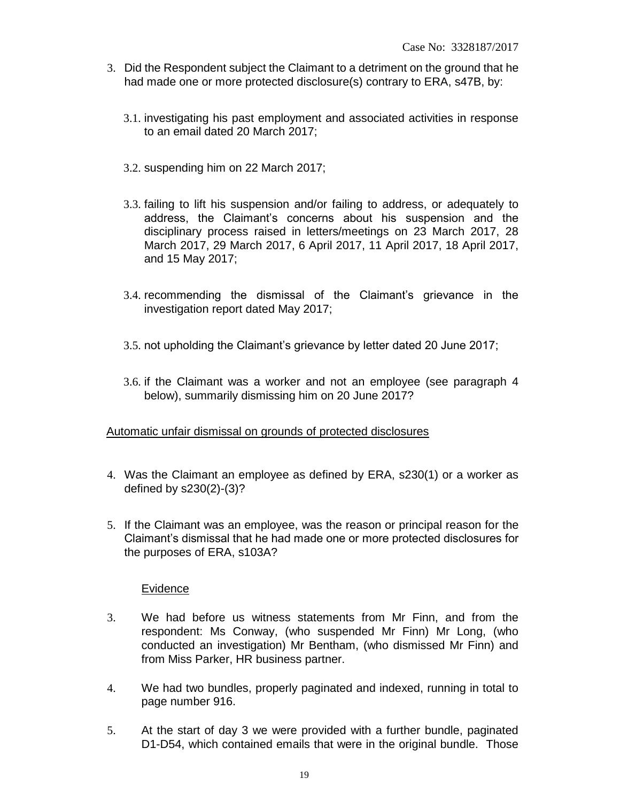- 3. Did the Respondent subject the Claimant to a detriment on the ground that he had made one or more protected disclosure(s) contrary to ERA, s47B, by:
	- 3.1. investigating his past employment and associated activities in response to an email dated 20 March 2017;
	- 3.2. suspending him on 22 March 2017;
	- 3.3. failing to lift his suspension and/or failing to address, or adequately to address, the Claimant's concerns about his suspension and the disciplinary process raised in letters/meetings on 23 March 2017, 28 March 2017, 29 March 2017, 6 April 2017, 11 April 2017, 18 April 2017, and 15 May 2017;
	- 3.4. recommending the dismissal of the Claimant's grievance in the investigation report dated May 2017;
	- 3.5. not upholding the Claimant's grievance by letter dated 20 June 2017;
	- 3.6. if the Claimant was a worker and not an employee (see paragraph 4 below), summarily dismissing him on 20 June 2017?

Automatic unfair dismissal on grounds of protected disclosures

- 4. Was the Claimant an employee as defined by ERA, s230(1) or a worker as defined by s230(2)-(3)?
- 5. If the Claimant was an employee, was the reason or principal reason for the Claimant's dismissal that he had made one or more protected disclosures for the purposes of ERA, s103A?

#### Evidence

- 3. We had before us witness statements from Mr Finn, and from the respondent: Ms Conway, (who suspended Mr Finn) Mr Long, (who conducted an investigation) Mr Bentham, (who dismissed Mr Finn) and from Miss Parker, HR business partner.
- 4. We had two bundles, properly paginated and indexed, running in total to page number 916.
- 5. At the start of day 3 we were provided with a further bundle, paginated D1-D54, which contained emails that were in the original bundle. Those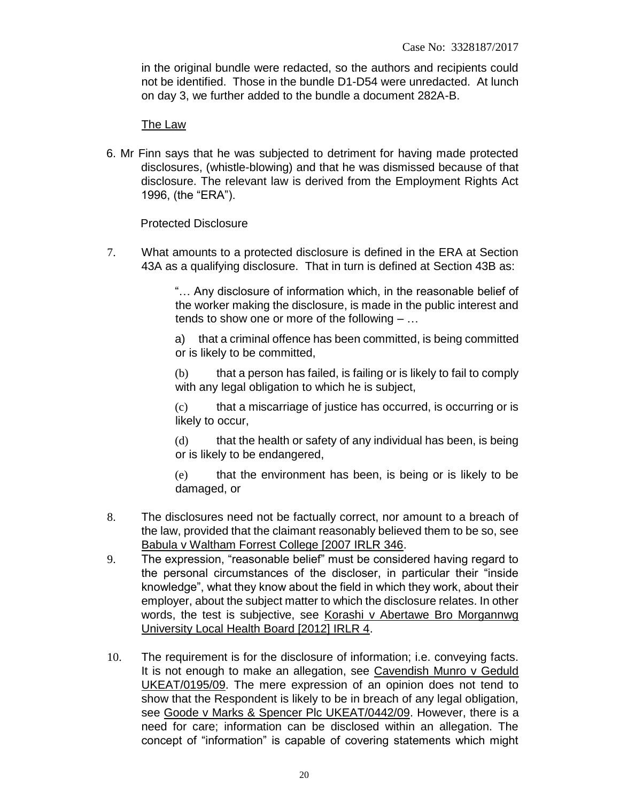in the original bundle were redacted, so the authors and recipients could not be identified. Those in the bundle D1-D54 were unredacted. At lunch on day 3, we further added to the bundle a document 282A-B.

#### The Law

6. Mr Finn says that he was subjected to detriment for having made protected disclosures, (whistle-blowing) and that he was dismissed because of that disclosure. The relevant law is derived from the Employment Rights Act 1996, (the "ERA").

#### Protected Disclosure

7. What amounts to a protected disclosure is defined in the ERA at Section 43A as a qualifying disclosure. That in turn is defined at Section 43B as:

> "… Any disclosure of information which, in the reasonable belief of the worker making the disclosure, is made in the public interest and tends to show one or more of the following – …

> a) that a criminal offence has been committed, is being committed or is likely to be committed,

> (b) that a person has failed, is failing or is likely to fail to comply with any legal obligation to which he is subject,

> (c) that a miscarriage of justice has occurred, is occurring or is likely to occur,

> (d) that the health or safety of any individual has been, is being or is likely to be endangered,

> (e) that the environment has been, is being or is likely to be damaged, or

- 8. The disclosures need not be factually correct, nor amount to a breach of the law, provided that the claimant reasonably believed them to be so, see Babula v Waltham Forrest College [2007 IRLR 346.
- 9. The expression, "reasonable belief" must be considered having regard to the personal circumstances of the discloser, in particular their "inside knowledge", what they know about the field in which they work, about their employer, about the subject matter to which the disclosure relates. In other words, the test is subjective, see Korashi v Abertawe Bro Morgannwg University Local Health Board [2012] IRLR 4.
- 10. The requirement is for the disclosure of information; i.e. conveying facts. It is not enough to make an allegation, see Cavendish Munro v Geduld UKEAT/0195/09. The mere expression of an opinion does not tend to show that the Respondent is likely to be in breach of any legal obligation, see Goode v Marks & Spencer Plc UKEAT/0442/09. However, there is a need for care; information can be disclosed within an allegation. The concept of "information" is capable of covering statements which might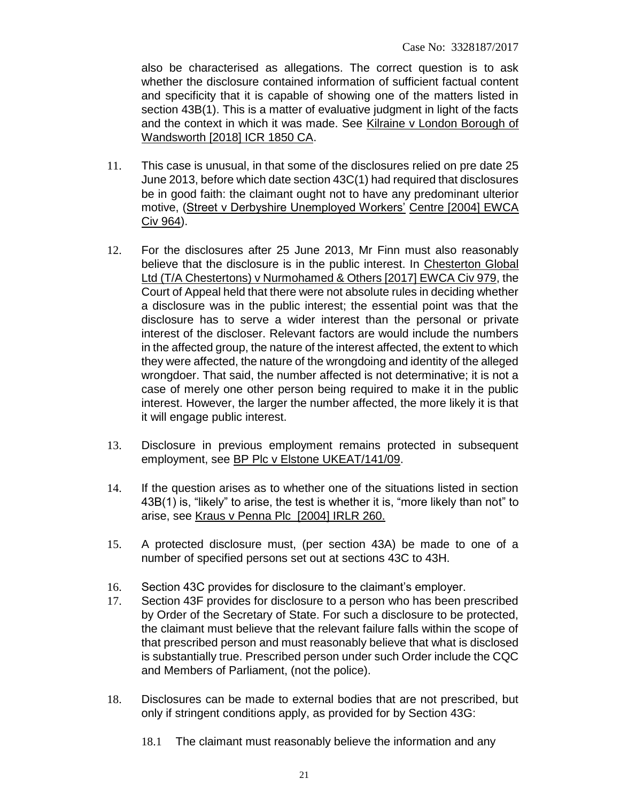also be characterised as allegations. The correct question is to ask whether the disclosure contained information of sufficient factual content and specificity that it is capable of showing one of the matters listed in section 43B(1). This is a matter of evaluative judgment in light of the facts and the context in which it was made. See Kilraine v London Borough of Wandsworth [2018] ICR 1850 CA.

- 11. This case is unusual, in that some of the disclosures relied on pre date 25 June 2013, before which date section 43C(1) had required that disclosures be in good faith: the claimant ought not to have any predominant ulterior motive, (Street v Derbyshire Unemployed Workers' Centre [2004] EWCA Civ 964).
- 12. For the disclosures after 25 June 2013, Mr Finn must also reasonably believe that the disclosure is in the public interest. In Chesterton Global Ltd (T/A Chestertons) v Nurmohamed & Others [2017] EWCA Civ 979, the Court of Appeal held that there were not absolute rules in deciding whether a disclosure was in the public interest; the essential point was that the disclosure has to serve a wider interest than the personal or private interest of the discloser. Relevant factors are would include the numbers in the affected group, the nature of the interest affected, the extent to which they were affected, the nature of the wrongdoing and identity of the alleged wrongdoer. That said, the number affected is not determinative; it is not a case of merely one other person being required to make it in the public interest. However, the larger the number affected, the more likely it is that it will engage public interest.
- 13. Disclosure in previous employment remains protected in subsequent employment, see BP Plc v Elstone UKEAT/141/09.
- 14. If the question arises as to whether one of the situations listed in section 43B(1) is, "likely" to arise, the test is whether it is, "more likely than not" to arise, see Kraus v Penna Plc [2004] IRLR 260.
- 15. A protected disclosure must, (per section 43A) be made to one of a number of specified persons set out at sections 43C to 43H.
- 16. Section 43C provides for disclosure to the claimant's employer.
- 17. Section 43F provides for disclosure to a person who has been prescribed by Order of the Secretary of State. For such a disclosure to be protected, the claimant must believe that the relevant failure falls within the scope of that prescribed person and must reasonably believe that what is disclosed is substantially true. Prescribed person under such Order include the CQC and Members of Parliament, (not the police).
- 18. Disclosures can be made to external bodies that are not prescribed, but only if stringent conditions apply, as provided for by Section 43G:
	- 18.1 The claimant must reasonably believe the information and any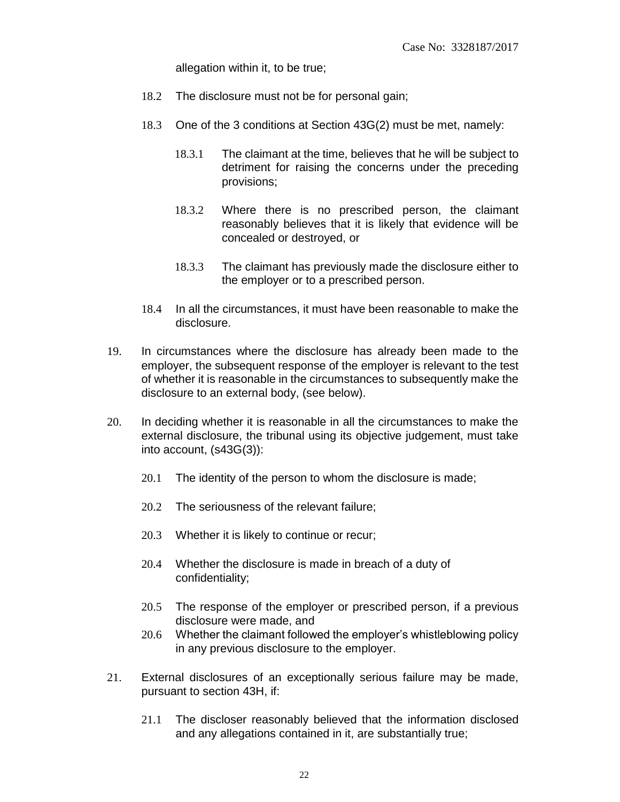allegation within it, to be true;

- 18.2 The disclosure must not be for personal gain;
- 18.3 One of the 3 conditions at Section 43G(2) must be met, namely:
	- 18.3.1 The claimant at the time, believes that he will be subject to detriment for raising the concerns under the preceding provisions;
	- 18.3.2 Where there is no prescribed person, the claimant reasonably believes that it is likely that evidence will be concealed or destroyed, or
	- 18.3.3 The claimant has previously made the disclosure either to the employer or to a prescribed person.
- 18.4 In all the circumstances, it must have been reasonable to make the disclosure.
- 19. In circumstances where the disclosure has already been made to the employer, the subsequent response of the employer is relevant to the test of whether it is reasonable in the circumstances to subsequently make the disclosure to an external body, (see below).
- 20. In deciding whether it is reasonable in all the circumstances to make the external disclosure, the tribunal using its objective judgement, must take into account, (s43G(3)):
	- 20.1 The identity of the person to whom the disclosure is made;
	- 20.2 The seriousness of the relevant failure;
	- 20.3 Whether it is likely to continue or recur;
	- 20.4 Whether the disclosure is made in breach of a duty of confidentiality;
	- 20.5 The response of the employer or prescribed person, if a previous disclosure were made, and
	- 20.6 Whether the claimant followed the employer's whistleblowing policy in any previous disclosure to the employer.
- 21. External disclosures of an exceptionally serious failure may be made, pursuant to section 43H, if:
	- 21.1 The discloser reasonably believed that the information disclosed and any allegations contained in it, are substantially true;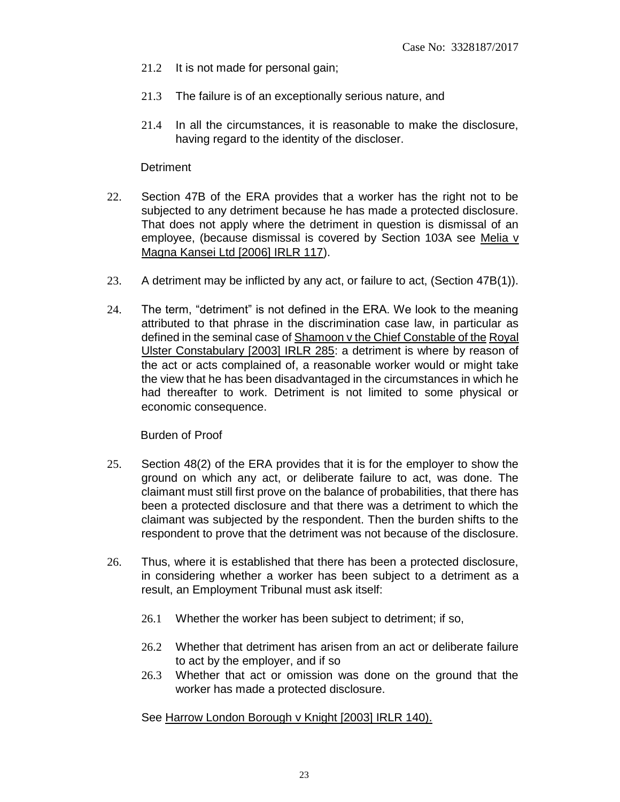- 21.2 It is not made for personal gain;
- 21.3 The failure is of an exceptionally serious nature, and
- 21.4 In all the circumstances, it is reasonable to make the disclosure, having regard to the identity of the discloser.

#### **Detriment**

- 22. Section 47B of the ERA provides that a worker has the right not to be subjected to any detriment because he has made a protected disclosure. That does not apply where the detriment in question is dismissal of an employee, (because dismissal is covered by Section 103A see Melia v Magna Kansei Ltd [2006] IRLR 117).
- 23. A detriment may be inflicted by any act, or failure to act, (Section 47B(1)).
- 24. The term, "detriment" is not defined in the ERA. We look to the meaning attributed to that phrase in the discrimination case law, in particular as defined in the seminal case of Shamoon v the Chief Constable of the Royal Ulster Constabulary [2003] IRLR 285: a detriment is where by reason of the act or acts complained of, a reasonable worker would or might take the view that he has been disadvantaged in the circumstances in which he had thereafter to work. Detriment is not limited to some physical or economic consequence.

Burden of Proof

- 25. Section 48(2) of the ERA provides that it is for the employer to show the ground on which any act, or deliberate failure to act, was done. The claimant must still first prove on the balance of probabilities, that there has been a protected disclosure and that there was a detriment to which the claimant was subjected by the respondent. Then the burden shifts to the respondent to prove that the detriment was not because of the disclosure.
- 26. Thus, where it is established that there has been a protected disclosure, in considering whether a worker has been subject to a detriment as a result, an Employment Tribunal must ask itself:
	- 26.1 Whether the worker has been subject to detriment; if so,
	- 26.2 Whether that detriment has arisen from an act or deliberate failure to act by the employer, and if so
	- 26.3 Whether that act or omission was done on the ground that the worker has made a protected disclosure.

See Harrow London Borough v Knight [2003] IRLR 140).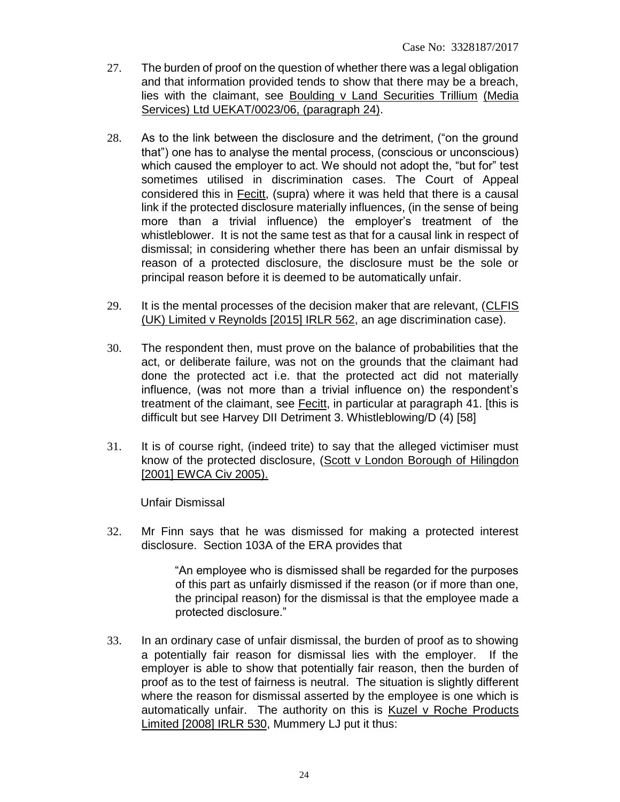- 27. The burden of proof on the question of whether there was a legal obligation and that information provided tends to show that there may be a breach, lies with the claimant, see Boulding v Land Securities Trillium (Media Services) Ltd UEKAT/0023/06, (paragraph 24).
- 28. As to the link between the disclosure and the detriment, ("on the ground that") one has to analyse the mental process, (conscious or unconscious) which caused the employer to act. We should not adopt the, "but for" test sometimes utilised in discrimination cases. The Court of Appeal considered this in Fecitt, (supra) where it was held that there is a causal link if the protected disclosure materially influences, (in the sense of being more than a trivial influence) the employer's treatment of the whistleblower. It is not the same test as that for a causal link in respect of dismissal; in considering whether there has been an unfair dismissal by reason of a protected disclosure, the disclosure must be the sole or principal reason before it is deemed to be automatically unfair.
- 29. It is the mental processes of the decision maker that are relevant, (CLFIS (UK) Limited v Reynolds [2015] IRLR 562, an age discrimination case).
- 30. The respondent then, must prove on the balance of probabilities that the act, or deliberate failure, was not on the grounds that the claimant had done the protected act i.e. that the protected act did not materially influence, (was not more than a trivial influence on) the respondent's treatment of the claimant, see Fecitt, in particular at paragraph 41. [this is difficult but see Harvey DII Detriment 3. Whistleblowing/D (4) [58]
- 31. It is of course right, (indeed trite) to say that the alleged victimiser must know of the protected disclosure, (Scott v London Borough of Hilingdon [2001] EWCA Civ 2005).

Unfair Dismissal

32. Mr Finn says that he was dismissed for making a protected interest disclosure. Section 103A of the ERA provides that

> "An employee who is dismissed shall be regarded for the purposes of this part as unfairly dismissed if the reason (or if more than one, the principal reason) for the dismissal is that the employee made a protected disclosure."

33. In an ordinary case of unfair dismissal, the burden of proof as to showing a potentially fair reason for dismissal lies with the employer. If the employer is able to show that potentially fair reason, then the burden of proof as to the test of fairness is neutral. The situation is slightly different where the reason for dismissal asserted by the employee is one which is automatically unfair. The authority on this is Kuzel v Roche Products Limited [2008] IRLR 530, Mummery LJ put it thus: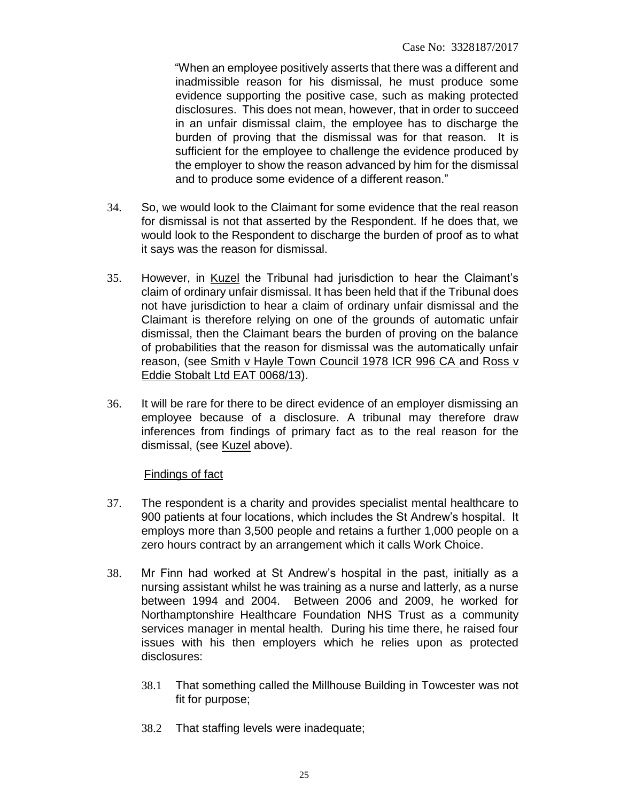"When an employee positively asserts that there was a different and inadmissible reason for his dismissal, he must produce some evidence supporting the positive case, such as making protected disclosures. This does not mean, however, that in order to succeed in an unfair dismissal claim, the employee has to discharge the burden of proving that the dismissal was for that reason. It is sufficient for the employee to challenge the evidence produced by the employer to show the reason advanced by him for the dismissal and to produce some evidence of a different reason."

- 34. So, we would look to the Claimant for some evidence that the real reason for dismissal is not that asserted by the Respondent. If he does that, we would look to the Respondent to discharge the burden of proof as to what it says was the reason for dismissal.
- 35. However, in Kuzel the Tribunal had jurisdiction to hear the Claimant's claim of ordinary unfair dismissal. It has been held that if the Tribunal does not have jurisdiction to hear a claim of ordinary unfair dismissal and the Claimant is therefore relying on one of the grounds of automatic unfair dismissal, then the Claimant bears the burden of proving on the balance of probabilities that the reason for dismissal was the automatically unfair reason, (see Smith v Hayle Town Council 1978 ICR 996 CA and Ross v Eddie Stobalt Ltd EAT 0068/13).
- 36. It will be rare for there to be direct evidence of an employer dismissing an employee because of a disclosure. A tribunal may therefore draw inferences from findings of primary fact as to the real reason for the dismissal, (see Kuzel above).

#### Findings of fact

- 37. The respondent is a charity and provides specialist mental healthcare to 900 patients at four locations, which includes the St Andrew's hospital. It employs more than 3,500 people and retains a further 1,000 people on a zero hours contract by an arrangement which it calls Work Choice.
- 38. Mr Finn had worked at St Andrew's hospital in the past, initially as a nursing assistant whilst he was training as a nurse and latterly, as a nurse between 1994 and 2004. Between 2006 and 2009, he worked for Northamptonshire Healthcare Foundation NHS Trust as a community services manager in mental health. During his time there, he raised four issues with his then employers which he relies upon as protected disclosures:
	- 38.1 That something called the Millhouse Building in Towcester was not fit for purpose;
	- 38.2 That staffing levels were inadequate;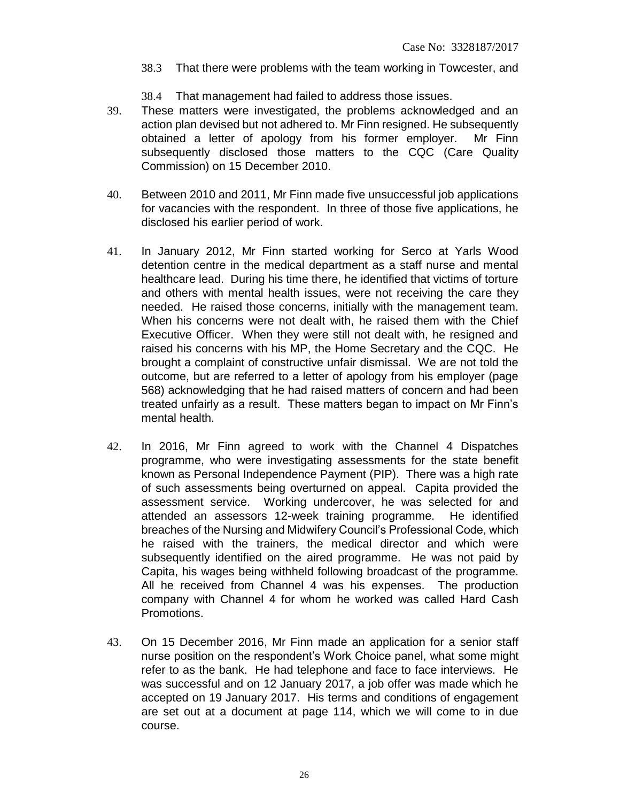- 38.3 That there were problems with the team working in Towcester, and
- 38.4 That management had failed to address those issues.
- 39. These matters were investigated, the problems acknowledged and an action plan devised but not adhered to. Mr Finn resigned. He subsequently obtained a letter of apology from his former employer. Mr Finn subsequently disclosed those matters to the CQC (Care Quality Commission) on 15 December 2010.
- 40. Between 2010 and 2011, Mr Finn made five unsuccessful job applications for vacancies with the respondent. In three of those five applications, he disclosed his earlier period of work.
- 41. In January 2012, Mr Finn started working for Serco at Yarls Wood detention centre in the medical department as a staff nurse and mental healthcare lead. During his time there, he identified that victims of torture and others with mental health issues, were not receiving the care they needed. He raised those concerns, initially with the management team. When his concerns were not dealt with, he raised them with the Chief Executive Officer. When they were still not dealt with, he resigned and raised his concerns with his MP, the Home Secretary and the CQC. He brought a complaint of constructive unfair dismissal. We are not told the outcome, but are referred to a letter of apology from his employer (page 568) acknowledging that he had raised matters of concern and had been treated unfairly as a result. These matters began to impact on Mr Finn's mental health.
- 42. In 2016, Mr Finn agreed to work with the Channel 4 Dispatches programme, who were investigating assessments for the state benefit known as Personal Independence Payment (PIP). There was a high rate of such assessments being overturned on appeal. Capita provided the assessment service. Working undercover, he was selected for and attended an assessors 12-week training programme. He identified breaches of the Nursing and Midwifery Council's Professional Code, which he raised with the trainers, the medical director and which were subsequently identified on the aired programme. He was not paid by Capita, his wages being withheld following broadcast of the programme. All he received from Channel 4 was his expenses. The production company with Channel 4 for whom he worked was called Hard Cash Promotions.
- 43. On 15 December 2016, Mr Finn made an application for a senior staff nurse position on the respondent's Work Choice panel, what some might refer to as the bank. He had telephone and face to face interviews. He was successful and on 12 January 2017, a job offer was made which he accepted on 19 January 2017. His terms and conditions of engagement are set out at a document at page 114, which we will come to in due course.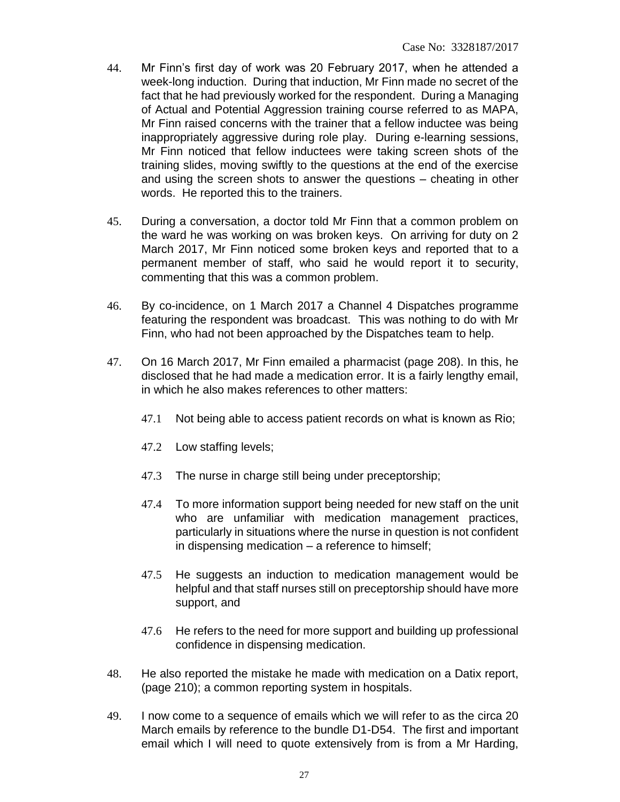- 44. Mr Finn's first day of work was 20 February 2017, when he attended a week-long induction. During that induction, Mr Finn made no secret of the fact that he had previously worked for the respondent. During a Managing of Actual and Potential Aggression training course referred to as MAPA, Mr Finn raised concerns with the trainer that a fellow inductee was being inappropriately aggressive during role play. During e-learning sessions, Mr Finn noticed that fellow inductees were taking screen shots of the training slides, moving swiftly to the questions at the end of the exercise and using the screen shots to answer the questions – cheating in other words. He reported this to the trainers.
- 45. During a conversation, a doctor told Mr Finn that a common problem on the ward he was working on was broken keys. On arriving for duty on 2 March 2017, Mr Finn noticed some broken keys and reported that to a permanent member of staff, who said he would report it to security, commenting that this was a common problem.
- 46. By co-incidence, on 1 March 2017 a Channel 4 Dispatches programme featuring the respondent was broadcast. This was nothing to do with Mr Finn, who had not been approached by the Dispatches team to help.
- 47. On 16 March 2017, Mr Finn emailed a pharmacist (page 208). In this, he disclosed that he had made a medication error. It is a fairly lengthy email, in which he also makes references to other matters:
	- 47.1 Not being able to access patient records on what is known as Rio;
	- 47.2 Low staffing levels;
	- 47.3 The nurse in charge still being under preceptorship;
	- 47.4 To more information support being needed for new staff on the unit who are unfamiliar with medication management practices, particularly in situations where the nurse in question is not confident in dispensing medication – a reference to himself;
	- 47.5 He suggests an induction to medication management would be helpful and that staff nurses still on preceptorship should have more support, and
	- 47.6 He refers to the need for more support and building up professional confidence in dispensing medication.
- 48. He also reported the mistake he made with medication on a Datix report, (page 210); a common reporting system in hospitals.
- 49. I now come to a sequence of emails which we will refer to as the circa 20 March emails by reference to the bundle D1-D54. The first and important email which I will need to quote extensively from is from a Mr Harding,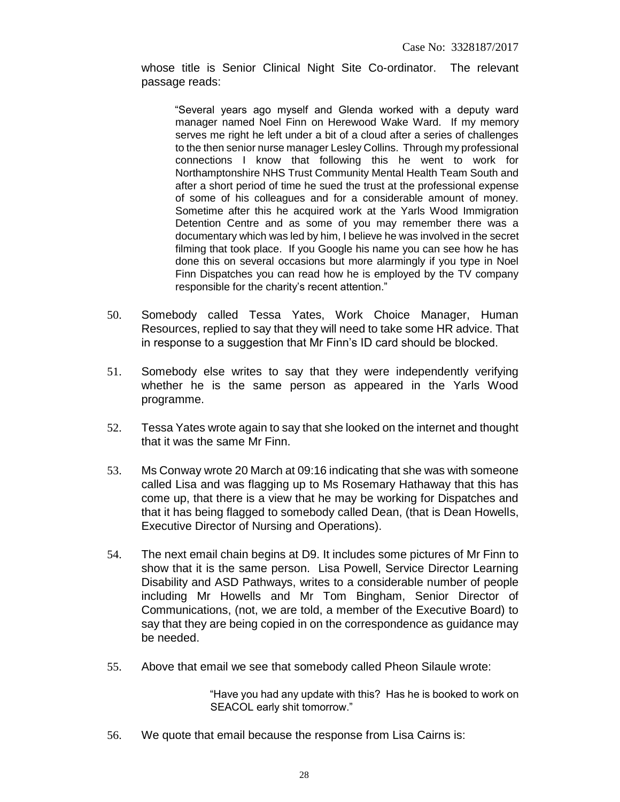whose title is Senior Clinical Night Site Co-ordinator. The relevant passage reads:

"Several years ago myself and Glenda worked with a deputy ward manager named Noel Finn on Herewood Wake Ward. If my memory serves me right he left under a bit of a cloud after a series of challenges to the then senior nurse manager Lesley Collins. Through my professional connections I know that following this he went to work for Northamptonshire NHS Trust Community Mental Health Team South and after a short period of time he sued the trust at the professional expense of some of his colleagues and for a considerable amount of money. Sometime after this he acquired work at the Yarls Wood Immigration Detention Centre and as some of you may remember there was a documentary which was led by him, I believe he was involved in the secret filming that took place. If you Google his name you can see how he has done this on several occasions but more alarmingly if you type in Noel Finn Dispatches you can read how he is employed by the TV company responsible for the charity's recent attention."

- 50. Somebody called Tessa Yates, Work Choice Manager, Human Resources, replied to say that they will need to take some HR advice. That in response to a suggestion that Mr Finn's ID card should be blocked.
- 51. Somebody else writes to say that they were independently verifying whether he is the same person as appeared in the Yarls Wood programme.
- 52. Tessa Yates wrote again to say that she looked on the internet and thought that it was the same Mr Finn.
- 53. Ms Conway wrote 20 March at 09:16 indicating that she was with someone called Lisa and was flagging up to Ms Rosemary Hathaway that this has come up, that there is a view that he may be working for Dispatches and that it has being flagged to somebody called Dean, (that is Dean Howells, Executive Director of Nursing and Operations).
- 54. The next email chain begins at D9. It includes some pictures of Mr Finn to show that it is the same person. Lisa Powell, Service Director Learning Disability and ASD Pathways, writes to a considerable number of people including Mr Howells and Mr Tom Bingham, Senior Director of Communications, (not, we are told, a member of the Executive Board) to say that they are being copied in on the correspondence as guidance may be needed.
- 55. Above that email we see that somebody called Pheon Silaule wrote:

"Have you had any update with this? Has he is booked to work on SEACOL early shit tomorrow."

56. We quote that email because the response from Lisa Cairns is: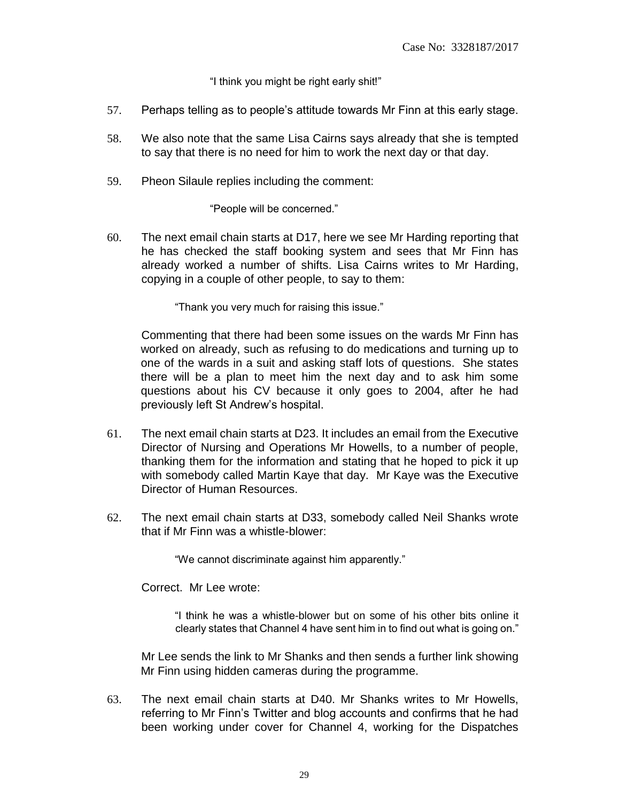"I think you might be right early shit!"

- 57. Perhaps telling as to people's attitude towards Mr Finn at this early stage.
- 58. We also note that the same Lisa Cairns says already that she is tempted to say that there is no need for him to work the next day or that day.
- 59. Pheon Silaule replies including the comment:

"People will be concerned."

60. The next email chain starts at D17, here we see Mr Harding reporting that he has checked the staff booking system and sees that Mr Finn has already worked a number of shifts. Lisa Cairns writes to Mr Harding, copying in a couple of other people, to say to them:

"Thank you very much for raising this issue."

Commenting that there had been some issues on the wards Mr Finn has worked on already, such as refusing to do medications and turning up to one of the wards in a suit and asking staff lots of questions. She states there will be a plan to meet him the next day and to ask him some questions about his CV because it only goes to 2004, after he had previously left St Andrew's hospital.

- 61. The next email chain starts at D23. It includes an email from the Executive Director of Nursing and Operations Mr Howells, to a number of people, thanking them for the information and stating that he hoped to pick it up with somebody called Martin Kaye that day. Mr Kaye was the Executive Director of Human Resources.
- 62. The next email chain starts at D33, somebody called Neil Shanks wrote that if Mr Finn was a whistle-blower:

"We cannot discriminate against him apparently."

Correct. Mr Lee wrote:

"I think he was a whistle-blower but on some of his other bits online it clearly states that Channel 4 have sent him in to find out what is going on."

Mr Lee sends the link to Mr Shanks and then sends a further link showing Mr Finn using hidden cameras during the programme.

63. The next email chain starts at D40. Mr Shanks writes to Mr Howells, referring to Mr Finn's Twitter and blog accounts and confirms that he had been working under cover for Channel 4, working for the Dispatches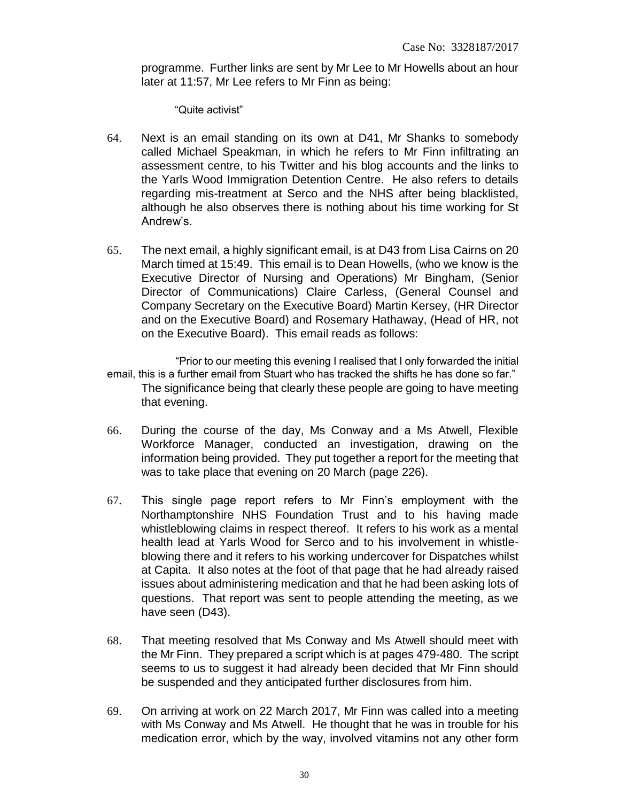programme. Further links are sent by Mr Lee to Mr Howells about an hour later at 11:57, Mr Lee refers to Mr Finn as being:

"Quite activist"

- 64. Next is an email standing on its own at D41, Mr Shanks to somebody called Michael Speakman, in which he refers to Mr Finn infiltrating an assessment centre, to his Twitter and his blog accounts and the links to the Yarls Wood Immigration Detention Centre. He also refers to details regarding mis-treatment at Serco and the NHS after being blacklisted, although he also observes there is nothing about his time working for St Andrew's.
- 65. The next email, a highly significant email, is at D43 from Lisa Cairns on 20 March timed at 15:49. This email is to Dean Howells, (who we know is the Executive Director of Nursing and Operations) Mr Bingham, (Senior Director of Communications) Claire Carless, (General Counsel and Company Secretary on the Executive Board) Martin Kersey, (HR Director and on the Executive Board) and Rosemary Hathaway, (Head of HR, not on the Executive Board). This email reads as follows:
- "Prior to our meeting this evening I realised that I only forwarded the initial email, this is a further email from Stuart who has tracked the shifts he has done so far." The significance being that clearly these people are going to have meeting that evening.
- 66. During the course of the day, Ms Conway and a Ms Atwell, Flexible Workforce Manager, conducted an investigation, drawing on the information being provided. They put together a report for the meeting that was to take place that evening on 20 March (page 226).
- 67. This single page report refers to Mr Finn's employment with the Northamptonshire NHS Foundation Trust and to his having made whistleblowing claims in respect thereof. It refers to his work as a mental health lead at Yarls Wood for Serco and to his involvement in whistleblowing there and it refers to his working undercover for Dispatches whilst at Capita. It also notes at the foot of that page that he had already raised issues about administering medication and that he had been asking lots of questions. That report was sent to people attending the meeting, as we have seen (D43).
- 68. That meeting resolved that Ms Conway and Ms Atwell should meet with the Mr Finn. They prepared a script which is at pages 479-480. The script seems to us to suggest it had already been decided that Mr Finn should be suspended and they anticipated further disclosures from him.
- 69. On arriving at work on 22 March 2017, Mr Finn was called into a meeting with Ms Conway and Ms Atwell. He thought that he was in trouble for his medication error, which by the way, involved vitamins not any other form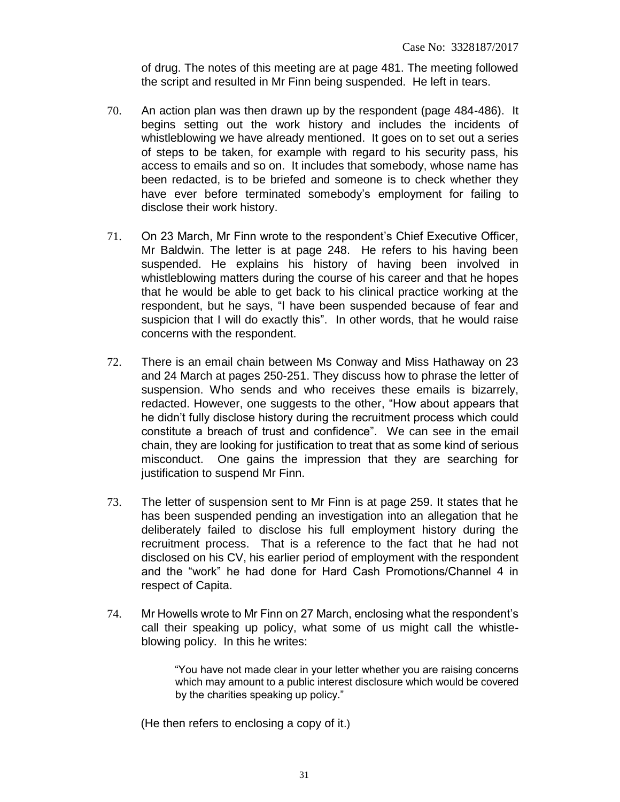of drug. The notes of this meeting are at page 481. The meeting followed the script and resulted in Mr Finn being suspended. He left in tears.

- 70. An action plan was then drawn up by the respondent (page 484-486). It begins setting out the work history and includes the incidents of whistleblowing we have already mentioned. It goes on to set out a series of steps to be taken, for example with regard to his security pass, his access to emails and so on. It includes that somebody, whose name has been redacted, is to be briefed and someone is to check whether they have ever before terminated somebody's employment for failing to disclose their work history.
- 71. On 23 March, Mr Finn wrote to the respondent's Chief Executive Officer, Mr Baldwin. The letter is at page 248. He refers to his having been suspended. He explains his history of having been involved in whistleblowing matters during the course of his career and that he hopes that he would be able to get back to his clinical practice working at the respondent, but he says, "I have been suspended because of fear and suspicion that I will do exactly this". In other words, that he would raise concerns with the respondent.
- 72. There is an email chain between Ms Conway and Miss Hathaway on 23 and 24 March at pages 250-251. They discuss how to phrase the letter of suspension. Who sends and who receives these emails is bizarrely, redacted. However, one suggests to the other, "How about appears that he didn't fully disclose history during the recruitment process which could constitute a breach of trust and confidence". We can see in the email chain, they are looking for justification to treat that as some kind of serious misconduct. One gains the impression that they are searching for justification to suspend Mr Finn.
- 73. The letter of suspension sent to Mr Finn is at page 259. It states that he has been suspended pending an investigation into an allegation that he deliberately failed to disclose his full employment history during the recruitment process. That is a reference to the fact that he had not disclosed on his CV, his earlier period of employment with the respondent and the "work" he had done for Hard Cash Promotions/Channel 4 in respect of Capita.
- 74. Mr Howells wrote to Mr Finn on 27 March, enclosing what the respondent's call their speaking up policy, what some of us might call the whistleblowing policy. In this he writes:

"You have not made clear in your letter whether you are raising concerns which may amount to a public interest disclosure which would be covered by the charities speaking up policy."

(He then refers to enclosing a copy of it.)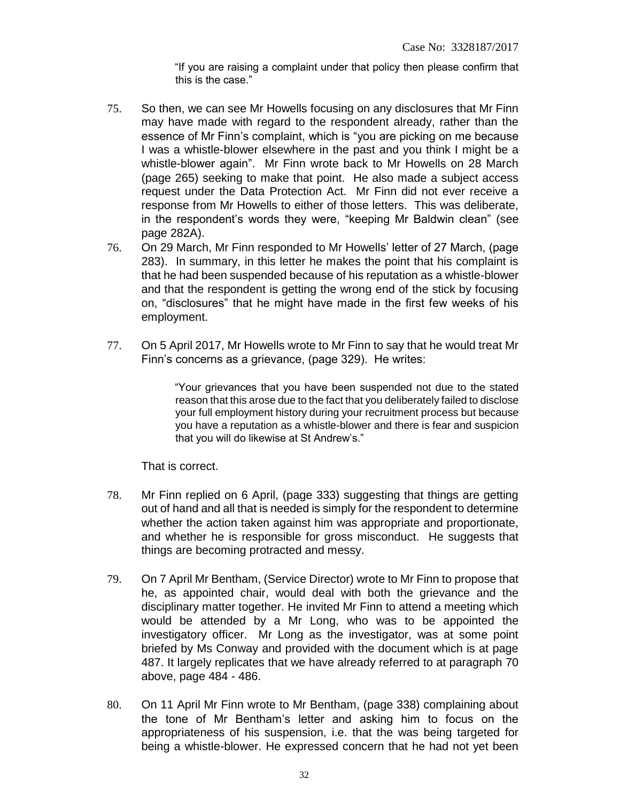"If you are raising a complaint under that policy then please confirm that this is the case."

- 75. So then, we can see Mr Howells focusing on any disclosures that Mr Finn may have made with regard to the respondent already, rather than the essence of Mr Finn's complaint, which is "you are picking on me because I was a whistle-blower elsewhere in the past and you think I might be a whistle-blower again". Mr Finn wrote back to Mr Howells on 28 March (page 265) seeking to make that point. He also made a subject access request under the Data Protection Act. Mr Finn did not ever receive a response from Mr Howells to either of those letters. This was deliberate, in the respondent's words they were, "keeping Mr Baldwin clean" (see page 282A).
- 76. On 29 March, Mr Finn responded to Mr Howells' letter of 27 March, (page 283). In summary, in this letter he makes the point that his complaint is that he had been suspended because of his reputation as a whistle-blower and that the respondent is getting the wrong end of the stick by focusing on, "disclosures" that he might have made in the first few weeks of his employment.
- 77. On 5 April 2017, Mr Howells wrote to Mr Finn to say that he would treat Mr Finn's concerns as a grievance, (page 329). He writes:

"Your grievances that you have been suspended not due to the stated reason that this arose due to the fact that you deliberately failed to disclose your full employment history during your recruitment process but because you have a reputation as a whistle-blower and there is fear and suspicion that you will do likewise at St Andrew's."

That is correct.

- 78. Mr Finn replied on 6 April, (page 333) suggesting that things are getting out of hand and all that is needed is simply for the respondent to determine whether the action taken against him was appropriate and proportionate, and whether he is responsible for gross misconduct. He suggests that things are becoming protracted and messy.
- 79. On 7 April Mr Bentham, (Service Director) wrote to Mr Finn to propose that he, as appointed chair, would deal with both the grievance and the disciplinary matter together. He invited Mr Finn to attend a meeting which would be attended by a Mr Long, who was to be appointed the investigatory officer. Mr Long as the investigator, was at some point briefed by Ms Conway and provided with the document which is at page 487. It largely replicates that we have already referred to at paragraph 70 above, page 484 - 486.
- 80. On 11 April Mr Finn wrote to Mr Bentham, (page 338) complaining about the tone of Mr Bentham's letter and asking him to focus on the appropriateness of his suspension, i.e. that the was being targeted for being a whistle-blower. He expressed concern that he had not yet been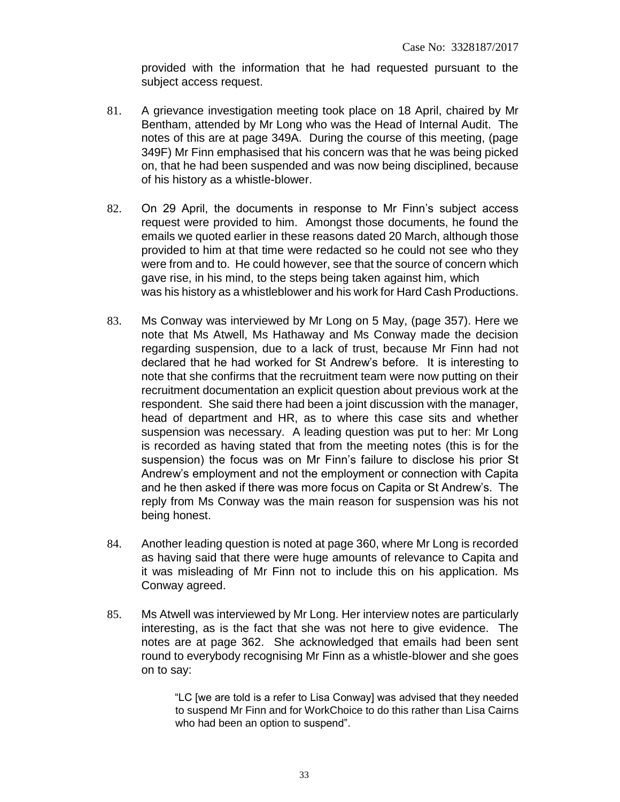provided with the information that he had requested pursuant to the subject access request.

- 81. A grievance investigation meeting took place on 18 April, chaired by Mr Bentham, attended by Mr Long who was the Head of Internal Audit. The notes of this are at page 349A. During the course of this meeting, (page 349F) Mr Finn emphasised that his concern was that he was being picked on, that he had been suspended and was now being disciplined, because of his history as a whistle-blower.
- 82. On 29 April, the documents in response to Mr Finn's subject access request were provided to him. Amongst those documents, he found the emails we quoted earlier in these reasons dated 20 March, although those provided to him at that time were redacted so he could not see who they were from and to. He could however, see that the source of concern which gave rise, in his mind, to the steps being taken against him, which was his history as a whistleblower and his work for Hard Cash Productions.
- 83. Ms Conway was interviewed by Mr Long on 5 May, (page 357). Here we note that Ms Atwell, Ms Hathaway and Ms Conway made the decision regarding suspension, due to a lack of trust, because Mr Finn had not declared that he had worked for St Andrew's before. It is interesting to note that she confirms that the recruitment team were now putting on their recruitment documentation an explicit question about previous work at the respondent. She said there had been a joint discussion with the manager, head of department and HR, as to where this case sits and whether suspension was necessary. A leading question was put to her: Mr Long is recorded as having stated that from the meeting notes (this is for the suspension) the focus was on Mr Finn's failure to disclose his prior St Andrew's employment and not the employment or connection with Capita and he then asked if there was more focus on Capita or St Andrew's. The reply from Ms Conway was the main reason for suspension was his not being honest.
- 84. Another leading question is noted at page 360, where Mr Long is recorded as having said that there were huge amounts of relevance to Capita and it was misleading of Mr Finn not to include this on his application. Ms Conway agreed.
- 85. Ms Atwell was interviewed by Mr Long. Her interview notes are particularly interesting, as is the fact that she was not here to give evidence. The notes are at page 362. She acknowledged that emails had been sent round to everybody recognising Mr Finn as a whistle-blower and she goes on to say:

"LC [we are told is a refer to Lisa Conway] was advised that they needed to suspend Mr Finn and for WorkChoice to do this rather than Lisa Cairns who had been an option to suspend".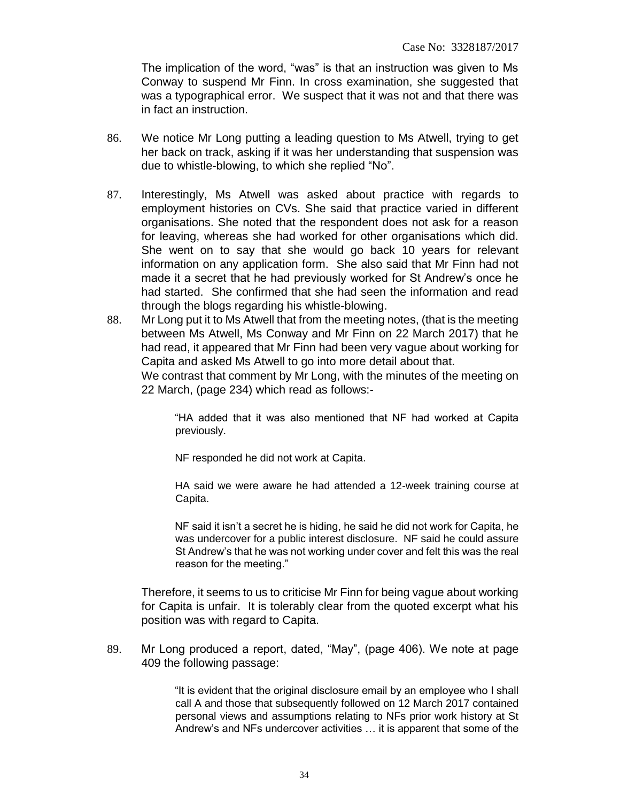The implication of the word, "was" is that an instruction was given to Ms Conway to suspend Mr Finn. In cross examination, she suggested that was a typographical error. We suspect that it was not and that there was in fact an instruction.

- 86. We notice Mr Long putting a leading question to Ms Atwell, trying to get her back on track, asking if it was her understanding that suspension was due to whistle-blowing, to which she replied "No".
- 87. Interestingly, Ms Atwell was asked about practice with regards to employment histories on CVs. She said that practice varied in different organisations. She noted that the respondent does not ask for a reason for leaving, whereas she had worked for other organisations which did. She went on to say that she would go back 10 years for relevant information on any application form. She also said that Mr Finn had not made it a secret that he had previously worked for St Andrew's once he had started. She confirmed that she had seen the information and read through the blogs regarding his whistle-blowing.
- 88. Mr Long put it to Ms Atwell that from the meeting notes, (that is the meeting between Ms Atwell, Ms Conway and Mr Finn on 22 March 2017) that he had read, it appeared that Mr Finn had been very vague about working for Capita and asked Ms Atwell to go into more detail about that.

We contrast that comment by Mr Long, with the minutes of the meeting on 22 March, (page 234) which read as follows:-

"HA added that it was also mentioned that NF had worked at Capita previously.

NF responded he did not work at Capita.

HA said we were aware he had attended a 12-week training course at Capita.

NF said it isn't a secret he is hiding, he said he did not work for Capita, he was undercover for a public interest disclosure. NF said he could assure St Andrew's that he was not working under cover and felt this was the real reason for the meeting."

Therefore, it seems to us to criticise Mr Finn for being vague about working for Capita is unfair. It is tolerably clear from the quoted excerpt what his position was with regard to Capita.

89. Mr Long produced a report, dated, "May", (page 406). We note at page 409 the following passage:

> "It is evident that the original disclosure email by an employee who I shall call A and those that subsequently followed on 12 March 2017 contained personal views and assumptions relating to NFs prior work history at St Andrew's and NFs undercover activities … it is apparent that some of the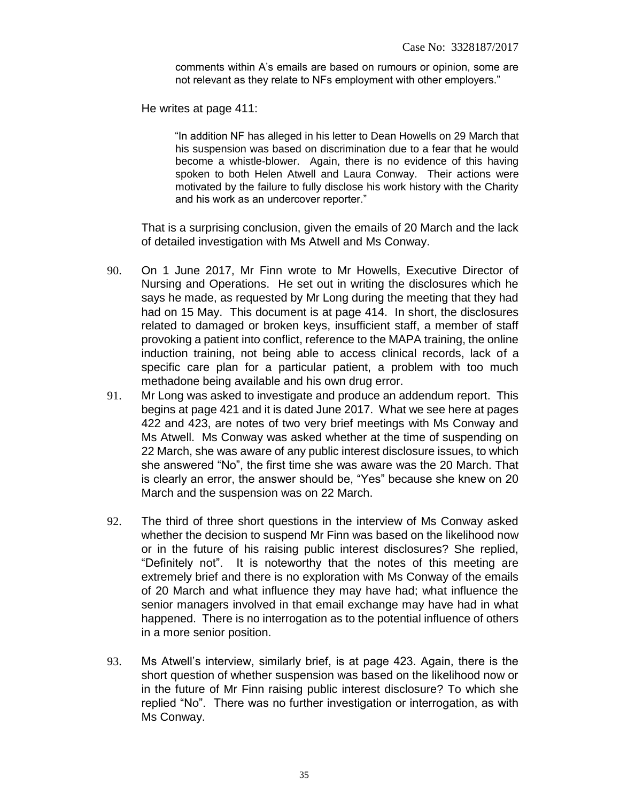comments within A's emails are based on rumours or opinion, some are not relevant as they relate to NFs employment with other employers."

He writes at page 411:

"In addition NF has alleged in his letter to Dean Howells on 29 March that his suspension was based on discrimination due to a fear that he would become a whistle-blower. Again, there is no evidence of this having spoken to both Helen Atwell and Laura Conway. Their actions were motivated by the failure to fully disclose his work history with the Charity and his work as an undercover reporter."

That is a surprising conclusion, given the emails of 20 March and the lack of detailed investigation with Ms Atwell and Ms Conway.

- 90. On 1 June 2017, Mr Finn wrote to Mr Howells, Executive Director of Nursing and Operations. He set out in writing the disclosures which he says he made, as requested by Mr Long during the meeting that they had had on 15 May. This document is at page 414. In short, the disclosures related to damaged or broken keys, insufficient staff, a member of staff provoking a patient into conflict, reference to the MAPA training, the online induction training, not being able to access clinical records, lack of a specific care plan for a particular patient, a problem with too much methadone being available and his own drug error.
- 91. Mr Long was asked to investigate and produce an addendum report. This begins at page 421 and it is dated June 2017. What we see here at pages 422 and 423, are notes of two very brief meetings with Ms Conway and Ms Atwell. Ms Conway was asked whether at the time of suspending on 22 March, she was aware of any public interest disclosure issues, to which she answered "No", the first time she was aware was the 20 March. That is clearly an error, the answer should be, "Yes" because she knew on 20 March and the suspension was on 22 March.
- 92. The third of three short questions in the interview of Ms Conway asked whether the decision to suspend Mr Finn was based on the likelihood now or in the future of his raising public interest disclosures? She replied, "Definitely not". It is noteworthy that the notes of this meeting are extremely brief and there is no exploration with Ms Conway of the emails of 20 March and what influence they may have had; what influence the senior managers involved in that email exchange may have had in what happened. There is no interrogation as to the potential influence of others in a more senior position.
- 93. Ms Atwell's interview, similarly brief, is at page 423. Again, there is the short question of whether suspension was based on the likelihood now or in the future of Mr Finn raising public interest disclosure? To which she replied "No". There was no further investigation or interrogation, as with Ms Conway.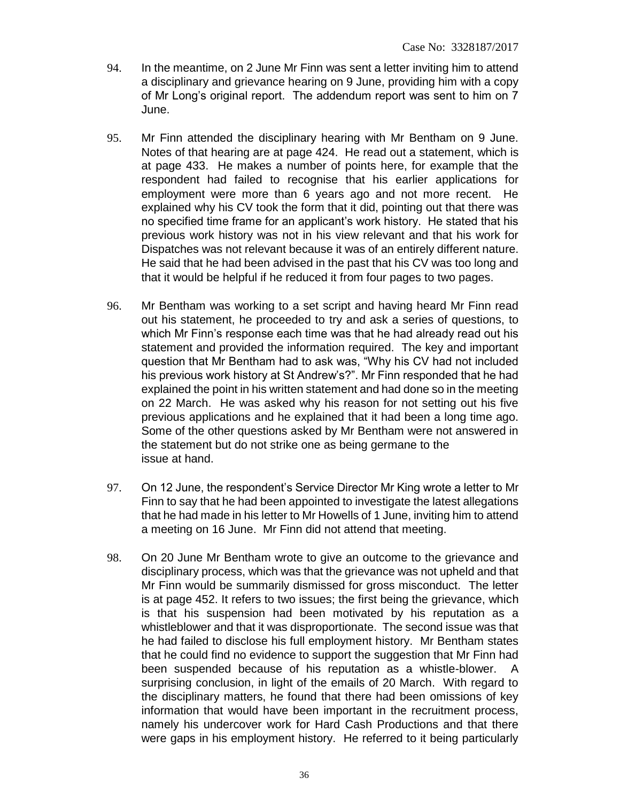- 94. In the meantime, on 2 June Mr Finn was sent a letter inviting him to attend a disciplinary and grievance hearing on 9 June, providing him with a copy of Mr Long's original report. The addendum report was sent to him on 7 June.
- 95. Mr Finn attended the disciplinary hearing with Mr Bentham on 9 June. Notes of that hearing are at page 424. He read out a statement, which is at page 433. He makes a number of points here, for example that the respondent had failed to recognise that his earlier applications for employment were more than 6 years ago and not more recent. He explained why his CV took the form that it did, pointing out that there was no specified time frame for an applicant's work history. He stated that his previous work history was not in his view relevant and that his work for Dispatches was not relevant because it was of an entirely different nature. He said that he had been advised in the past that his CV was too long and that it would be helpful if he reduced it from four pages to two pages.
- 96. Mr Bentham was working to a set script and having heard Mr Finn read out his statement, he proceeded to try and ask a series of questions, to which Mr Finn's response each time was that he had already read out his statement and provided the information required. The key and important question that Mr Bentham had to ask was, "Why his CV had not included his previous work history at St Andrew's?". Mr Finn responded that he had explained the point in his written statement and had done so in the meeting on 22 March. He was asked why his reason for not setting out his five previous applications and he explained that it had been a long time ago. Some of the other questions asked by Mr Bentham were not answered in the statement but do not strike one as being germane to the issue at hand.
- 97. On 12 June, the respondent's Service Director Mr King wrote a letter to Mr Finn to say that he had been appointed to investigate the latest allegations that he had made in his letter to Mr Howells of 1 June, inviting him to attend a meeting on 16 June. Mr Finn did not attend that meeting.
- 98. On 20 June Mr Bentham wrote to give an outcome to the grievance and disciplinary process, which was that the grievance was not upheld and that Mr Finn would be summarily dismissed for gross misconduct. The letter is at page 452. It refers to two issues; the first being the grievance, which is that his suspension had been motivated by his reputation as a whistleblower and that it was disproportionate. The second issue was that he had failed to disclose his full employment history. Mr Bentham states that he could find no evidence to support the suggestion that Mr Finn had been suspended because of his reputation as a whistle-blower. A surprising conclusion, in light of the emails of 20 March. With regard to the disciplinary matters, he found that there had been omissions of key information that would have been important in the recruitment process, namely his undercover work for Hard Cash Productions and that there were gaps in his employment history. He referred to it being particularly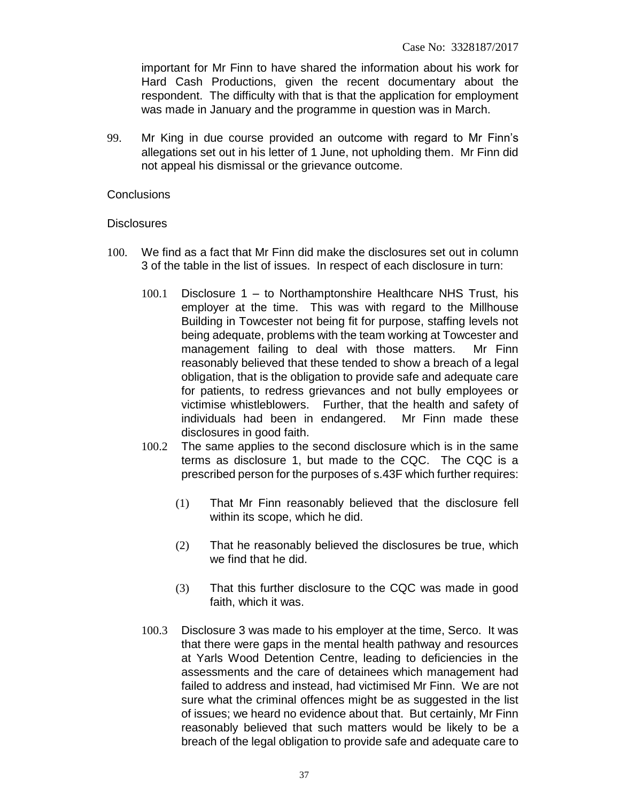important for Mr Finn to have shared the information about his work for Hard Cash Productions, given the recent documentary about the respondent. The difficulty with that is that the application for employment was made in January and the programme in question was in March.

99. Mr King in due course provided an outcome with regard to Mr Finn's allegations set out in his letter of 1 June, not upholding them. Mr Finn did not appeal his dismissal or the grievance outcome.

#### **Conclusions**

#### **Disclosures**

- 100. We find as a fact that Mr Finn did make the disclosures set out in column 3 of the table in the list of issues. In respect of each disclosure in turn:
	- 100.1 Disclosure 1 to Northamptonshire Healthcare NHS Trust, his employer at the time. This was with regard to the Millhouse Building in Towcester not being fit for purpose, staffing levels not being adequate, problems with the team working at Towcester and management failing to deal with those matters. Mr Finn reasonably believed that these tended to show a breach of a legal obligation, that is the obligation to provide safe and adequate care for patients, to redress grievances and not bully employees or victimise whistleblowers. Further, that the health and safety of individuals had been in endangered. Mr Finn made these disclosures in good faith.
	- 100.2 The same applies to the second disclosure which is in the same terms as disclosure 1, but made to the CQC. The CQC is a prescribed person for the purposes of s.43F which further requires:
		- (1) That Mr Finn reasonably believed that the disclosure fell within its scope, which he did.
		- (2) That he reasonably believed the disclosures be true, which we find that he did.
		- (3) That this further disclosure to the CQC was made in good faith, which it was.
	- 100.3 Disclosure 3 was made to his employer at the time, Serco. It was that there were gaps in the mental health pathway and resources at Yarls Wood Detention Centre, leading to deficiencies in the assessments and the care of detainees which management had failed to address and instead, had victimised Mr Finn. We are not sure what the criminal offences might be as suggested in the list of issues; we heard no evidence about that. But certainly, Mr Finn reasonably believed that such matters would be likely to be a breach of the legal obligation to provide safe and adequate care to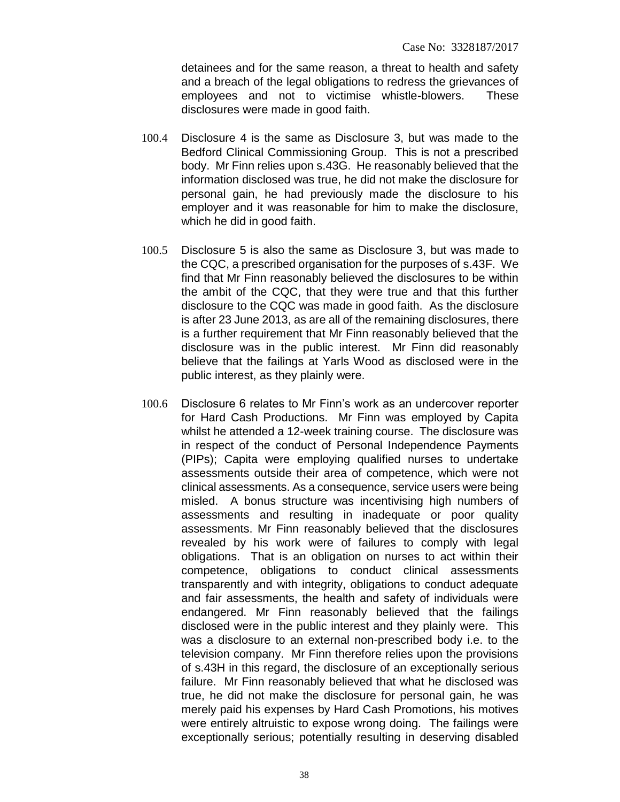detainees and for the same reason, a threat to health and safety and a breach of the legal obligations to redress the grievances of employees and not to victimise whistle-blowers. These disclosures were made in good faith.

- 100.4 Disclosure 4 is the same as Disclosure 3, but was made to the Bedford Clinical Commissioning Group. This is not a prescribed body. Mr Finn relies upon s.43G. He reasonably believed that the information disclosed was true, he did not make the disclosure for personal gain, he had previously made the disclosure to his employer and it was reasonable for him to make the disclosure, which he did in good faith.
- 100.5 Disclosure 5 is also the same as Disclosure 3, but was made to the CQC, a prescribed organisation for the purposes of s.43F. We find that Mr Finn reasonably believed the disclosures to be within the ambit of the CQC, that they were true and that this further disclosure to the CQC was made in good faith. As the disclosure is after 23 June 2013, as are all of the remaining disclosures, there is a further requirement that Mr Finn reasonably believed that the disclosure was in the public interest. Mr Finn did reasonably believe that the failings at Yarls Wood as disclosed were in the public interest, as they plainly were.
- 100.6 Disclosure 6 relates to Mr Finn's work as an undercover reporter for Hard Cash Productions. Mr Finn was employed by Capita whilst he attended a 12-week training course. The disclosure was in respect of the conduct of Personal Independence Payments (PIPs); Capita were employing qualified nurses to undertake assessments outside their area of competence, which were not clinical assessments. As a consequence, service users were being misled. A bonus structure was incentivising high numbers of assessments and resulting in inadequate or poor quality assessments. Mr Finn reasonably believed that the disclosures revealed by his work were of failures to comply with legal obligations. That is an obligation on nurses to act within their competence, obligations to conduct clinical assessments transparently and with integrity, obligations to conduct adequate and fair assessments, the health and safety of individuals were endangered. Mr Finn reasonably believed that the failings disclosed were in the public interest and they plainly were. This was a disclosure to an external non-prescribed body i.e. to the television company. Mr Finn therefore relies upon the provisions of s.43H in this regard, the disclosure of an exceptionally serious failure. Mr Finn reasonably believed that what he disclosed was true, he did not make the disclosure for personal gain, he was merely paid his expenses by Hard Cash Promotions, his motives were entirely altruistic to expose wrong doing. The failings were exceptionally serious; potentially resulting in deserving disabled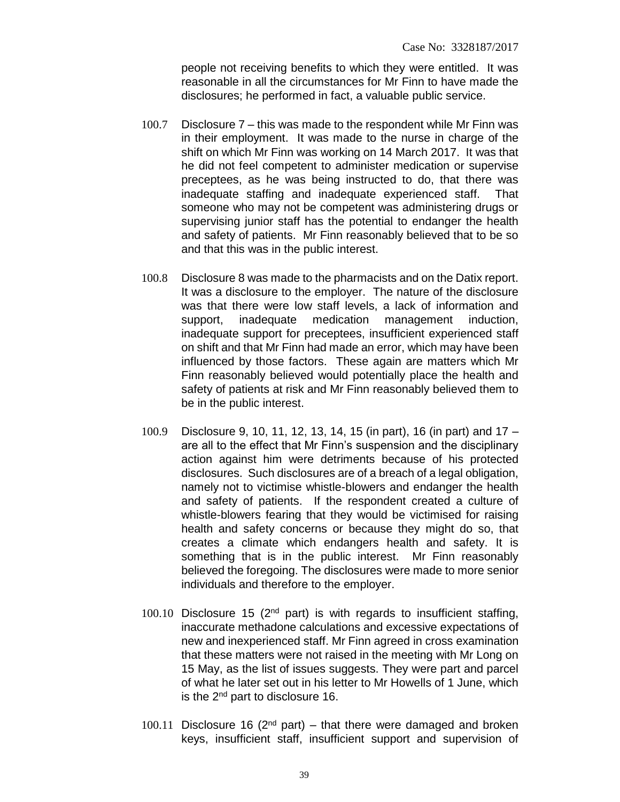people not receiving benefits to which they were entitled. It was reasonable in all the circumstances for Mr Finn to have made the disclosures; he performed in fact, a valuable public service.

- 100.7 Disclosure 7 this was made to the respondent while Mr Finn was in their employment. It was made to the nurse in charge of the shift on which Mr Finn was working on 14 March 2017. It was that he did not feel competent to administer medication or supervise preceptees, as he was being instructed to do, that there was inadequate staffing and inadequate experienced staff. That someone who may not be competent was administering drugs or supervising junior staff has the potential to endanger the health and safety of patients. Mr Finn reasonably believed that to be so and that this was in the public interest.
- 100.8 Disclosure 8 was made to the pharmacists and on the Datix report. It was a disclosure to the employer. The nature of the disclosure was that there were low staff levels, a lack of information and support, inadequate medication management induction, inadequate support for preceptees, insufficient experienced staff on shift and that Mr Finn had made an error, which may have been influenced by those factors. These again are matters which Mr Finn reasonably believed would potentially place the health and safety of patients at risk and Mr Finn reasonably believed them to be in the public interest.
- 100.9 Disclosure 9, 10, 11, 12, 13, 14, 15 (in part), 16 (in part) and 17 are all to the effect that Mr Finn's suspension and the disciplinary action against him were detriments because of his protected disclosures. Such disclosures are of a breach of a legal obligation, namely not to victimise whistle-blowers and endanger the health and safety of patients. If the respondent created a culture of whistle-blowers fearing that they would be victimised for raising health and safety concerns or because they might do so, that creates a climate which endangers health and safety. It is something that is in the public interest. Mr Finn reasonably believed the foregoing. The disclosures were made to more senior individuals and therefore to the employer.
- 100.10 Disclosure 15 ( $2<sup>nd</sup>$  part) is with regards to insufficient staffing, inaccurate methadone calculations and excessive expectations of new and inexperienced staff. Mr Finn agreed in cross examination that these matters were not raised in the meeting with Mr Long on 15 May, as the list of issues suggests. They were part and parcel of what he later set out in his letter to Mr Howells of 1 June, which is the 2nd part to disclosure 16.
- 100.11 Disclosure 16 ( $2<sup>nd</sup>$  part) that there were damaged and broken keys, insufficient staff, insufficient support and supervision of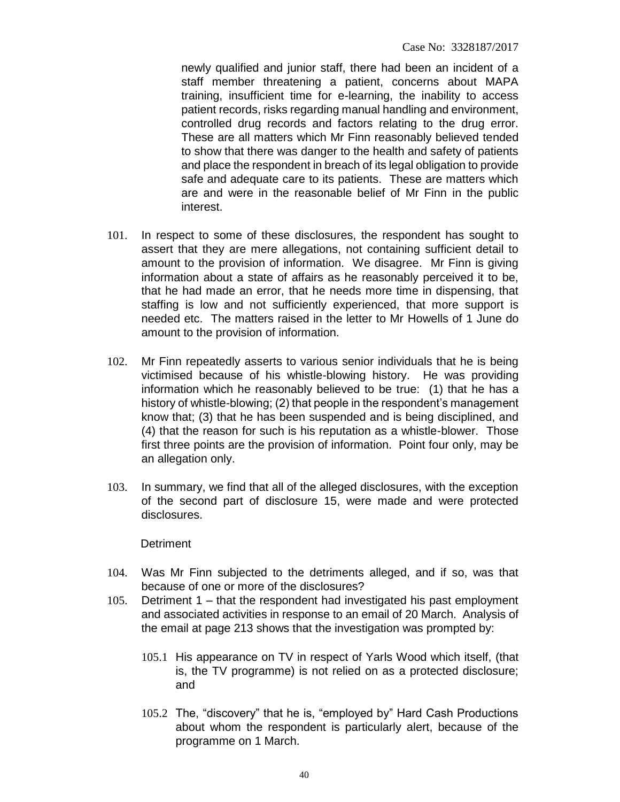newly qualified and junior staff, there had been an incident of a staff member threatening a patient, concerns about MAPA training, insufficient time for e-learning, the inability to access patient records, risks regarding manual handling and environment, controlled drug records and factors relating to the drug error. These are all matters which Mr Finn reasonably believed tended to show that there was danger to the health and safety of patients and place the respondent in breach of its legal obligation to provide safe and adequate care to its patients. These are matters which are and were in the reasonable belief of Mr Finn in the public interest.

- 101. In respect to some of these disclosures, the respondent has sought to assert that they are mere allegations, not containing sufficient detail to amount to the provision of information. We disagree. Mr Finn is giving information about a state of affairs as he reasonably perceived it to be, that he had made an error, that he needs more time in dispensing, that staffing is low and not sufficiently experienced, that more support is needed etc. The matters raised in the letter to Mr Howells of 1 June do amount to the provision of information.
- 102. Mr Finn repeatedly asserts to various senior individuals that he is being victimised because of his whistle-blowing history. He was providing information which he reasonably believed to be true: (1) that he has a history of whistle-blowing; (2) that people in the respondent's management know that; (3) that he has been suspended and is being disciplined, and (4) that the reason for such is his reputation as a whistle-blower. Those first three points are the provision of information. Point four only, may be an allegation only.
- 103. In summary, we find that all of the alleged disclosures, with the exception of the second part of disclosure 15, were made and were protected disclosures.

#### **Detriment**

- 104. Was Mr Finn subjected to the detriments alleged, and if so, was that because of one or more of the disclosures?
- 105. Detriment 1 that the respondent had investigated his past employment and associated activities in response to an email of 20 March. Analysis of the email at page 213 shows that the investigation was prompted by:
	- 105.1 His appearance on TV in respect of Yarls Wood which itself, (that is, the TV programme) is not relied on as a protected disclosure; and
	- 105.2 The, "discovery" that he is, "employed by" Hard Cash Productions about whom the respondent is particularly alert, because of the programme on 1 March.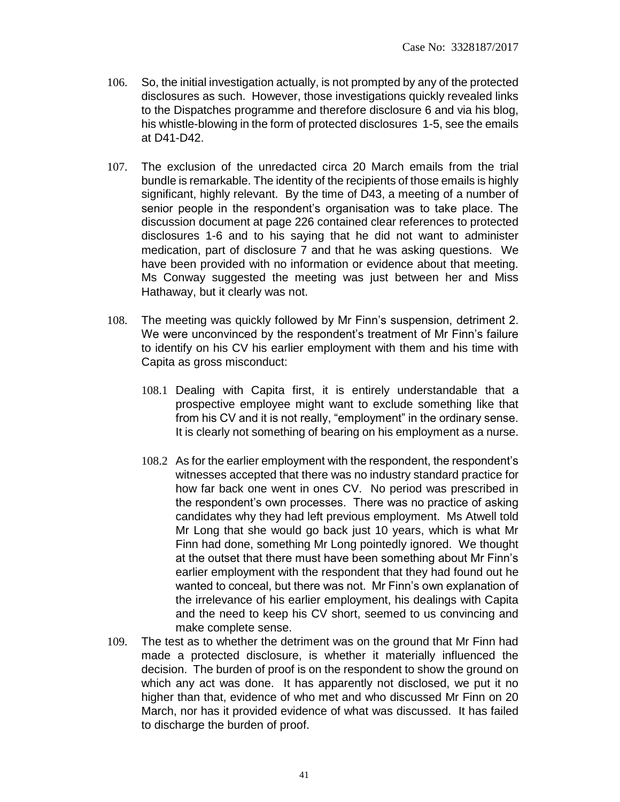- 106. So, the initial investigation actually, is not prompted by any of the protected disclosures as such. However, those investigations quickly revealed links to the Dispatches programme and therefore disclosure 6 and via his blog, his whistle-blowing in the form of protected disclosures 1-5, see the emails at D41-D42.
- 107. The exclusion of the unredacted circa 20 March emails from the trial bundle is remarkable. The identity of the recipients of those emails is highly significant, highly relevant. By the time of D43, a meeting of a number of senior people in the respondent's organisation was to take place. The discussion document at page 226 contained clear references to protected disclosures 1-6 and to his saying that he did not want to administer medication, part of disclosure 7 and that he was asking questions. We have been provided with no information or evidence about that meeting. Ms Conway suggested the meeting was just between her and Miss Hathaway, but it clearly was not.
- 108. The meeting was quickly followed by Mr Finn's suspension, detriment 2. We were unconvinced by the respondent's treatment of Mr Finn's failure to identify on his CV his earlier employment with them and his time with Capita as gross misconduct:
	- 108.1 Dealing with Capita first, it is entirely understandable that a prospective employee might want to exclude something like that from his CV and it is not really, "employment" in the ordinary sense. It is clearly not something of bearing on his employment as a nurse.
	- 108.2 As for the earlier employment with the respondent, the respondent's witnesses accepted that there was no industry standard practice for how far back one went in ones CV. No period was prescribed in the respondent's own processes. There was no practice of asking candidates why they had left previous employment. Ms Atwell told Mr Long that she would go back just 10 years, which is what Mr Finn had done, something Mr Long pointedly ignored. We thought at the outset that there must have been something about Mr Finn's earlier employment with the respondent that they had found out he wanted to conceal, but there was not. Mr Finn's own explanation of the irrelevance of his earlier employment, his dealings with Capita and the need to keep his CV short, seemed to us convincing and make complete sense.
- 109. The test as to whether the detriment was on the ground that Mr Finn had made a protected disclosure, is whether it materially influenced the decision. The burden of proof is on the respondent to show the ground on which any act was done. It has apparently not disclosed, we put it no higher than that, evidence of who met and who discussed Mr Finn on 20 March, nor has it provided evidence of what was discussed. It has failed to discharge the burden of proof.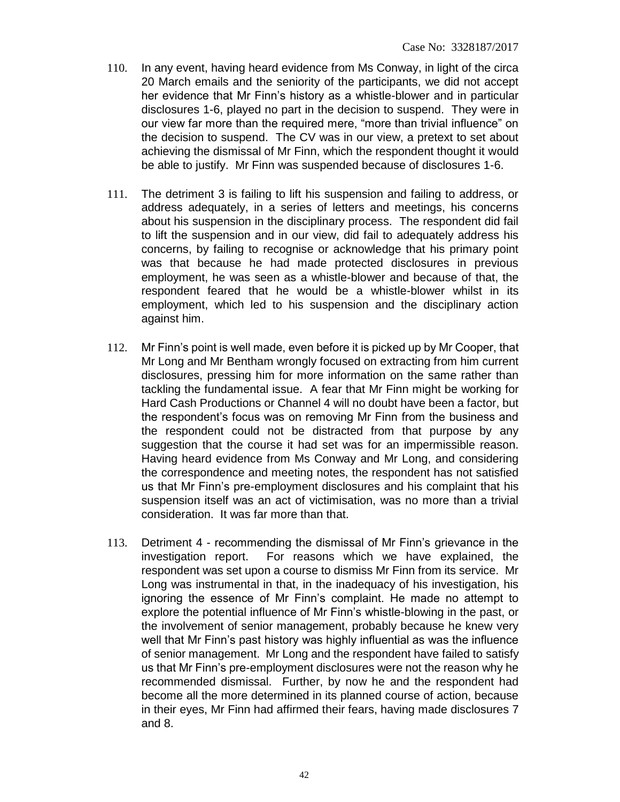- 110. In any event, having heard evidence from Ms Conway, in light of the circa 20 March emails and the seniority of the participants, we did not accept her evidence that Mr Finn's history as a whistle-blower and in particular disclosures 1-6, played no part in the decision to suspend. They were in our view far more than the required mere, "more than trivial influence" on the decision to suspend. The CV was in our view, a pretext to set about achieving the dismissal of Mr Finn, which the respondent thought it would be able to justify. Mr Finn was suspended because of disclosures 1-6.
- 111. The detriment 3 is failing to lift his suspension and failing to address, or address adequately, in a series of letters and meetings, his concerns about his suspension in the disciplinary process. The respondent did fail to lift the suspension and in our view, did fail to adequately address his concerns, by failing to recognise or acknowledge that his primary point was that because he had made protected disclosures in previous employment, he was seen as a whistle-blower and because of that, the respondent feared that he would be a whistle-blower whilst in its employment, which led to his suspension and the disciplinary action against him.
- 112. Mr Finn's point is well made, even before it is picked up by Mr Cooper, that Mr Long and Mr Bentham wrongly focused on extracting from him current disclosures, pressing him for more information on the same rather than tackling the fundamental issue. A fear that Mr Finn might be working for Hard Cash Productions or Channel 4 will no doubt have been a factor, but the respondent's focus was on removing Mr Finn from the business and the respondent could not be distracted from that purpose by any suggestion that the course it had set was for an impermissible reason. Having heard evidence from Ms Conway and Mr Long, and considering the correspondence and meeting notes, the respondent has not satisfied us that Mr Finn's pre-employment disclosures and his complaint that his suspension itself was an act of victimisation, was no more than a trivial consideration. It was far more than that.
- 113. Detriment 4 recommending the dismissal of Mr Finn's grievance in the investigation report. For reasons which we have explained, the respondent was set upon a course to dismiss Mr Finn from its service. Mr Long was instrumental in that, in the inadequacy of his investigation, his ignoring the essence of Mr Finn's complaint. He made no attempt to explore the potential influence of Mr Finn's whistle-blowing in the past, or the involvement of senior management, probably because he knew very well that Mr Finn's past history was highly influential as was the influence of senior management. Mr Long and the respondent have failed to satisfy us that Mr Finn's pre-employment disclosures were not the reason why he recommended dismissal. Further, by now he and the respondent had become all the more determined in its planned course of action, because in their eyes, Mr Finn had affirmed their fears, having made disclosures 7 and 8.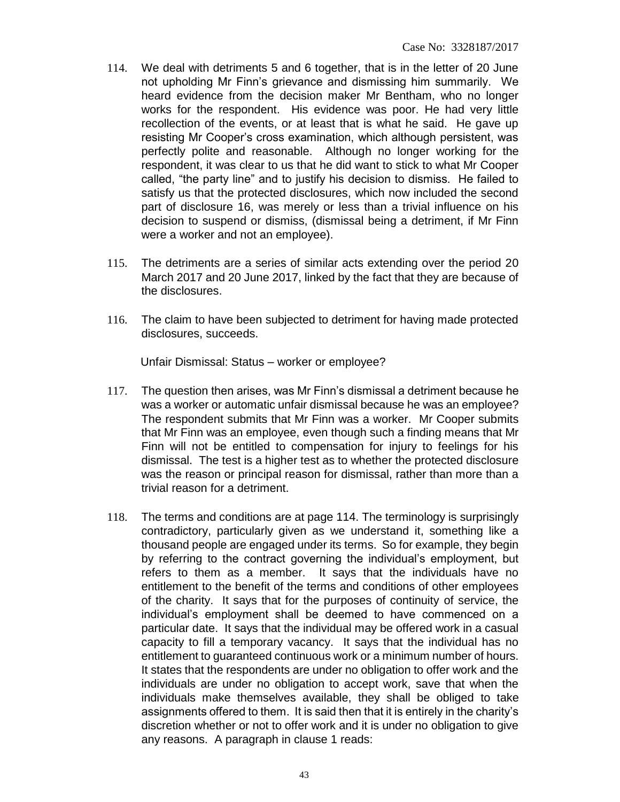- 114. We deal with detriments 5 and 6 together, that is in the letter of 20 June not upholding Mr Finn's grievance and dismissing him summarily. We heard evidence from the decision maker Mr Bentham, who no longer works for the respondent. His evidence was poor. He had very little recollection of the events, or at least that is what he said. He gave up resisting Mr Cooper's cross examination, which although persistent, was perfectly polite and reasonable. Although no longer working for the respondent, it was clear to us that he did want to stick to what Mr Cooper called, "the party line" and to justify his decision to dismiss. He failed to satisfy us that the protected disclosures, which now included the second part of disclosure 16, was merely or less than a trivial influence on his decision to suspend or dismiss, (dismissal being a detriment, if Mr Finn were a worker and not an employee).
- 115. The detriments are a series of similar acts extending over the period 20 March 2017 and 20 June 2017, linked by the fact that they are because of the disclosures.
- 116. The claim to have been subjected to detriment for having made protected disclosures, succeeds.

Unfair Dismissal: Status – worker or employee?

- 117. The question then arises, was Mr Finn's dismissal a detriment because he was a worker or automatic unfair dismissal because he was an employee? The respondent submits that Mr Finn was a worker. Mr Cooper submits that Mr Finn was an employee, even though such a finding means that Mr Finn will not be entitled to compensation for injury to feelings for his dismissal. The test is a higher test as to whether the protected disclosure was the reason or principal reason for dismissal, rather than more than a trivial reason for a detriment.
- 118. The terms and conditions are at page 114. The terminology is surprisingly contradictory, particularly given as we understand it, something like a thousand people are engaged under its terms. So for example, they begin by referring to the contract governing the individual's employment, but refers to them as a member. It says that the individuals have no entitlement to the benefit of the terms and conditions of other employees of the charity. It says that for the purposes of continuity of service, the individual's employment shall be deemed to have commenced on a particular date. It says that the individual may be offered work in a casual capacity to fill a temporary vacancy. It says that the individual has no entitlement to guaranteed continuous work or a minimum number of hours. It states that the respondents are under no obligation to offer work and the individuals are under no obligation to accept work, save that when the individuals make themselves available, they shall be obliged to take assignments offered to them. It is said then that it is entirely in the charity's discretion whether or not to offer work and it is under no obligation to give any reasons. A paragraph in clause 1 reads: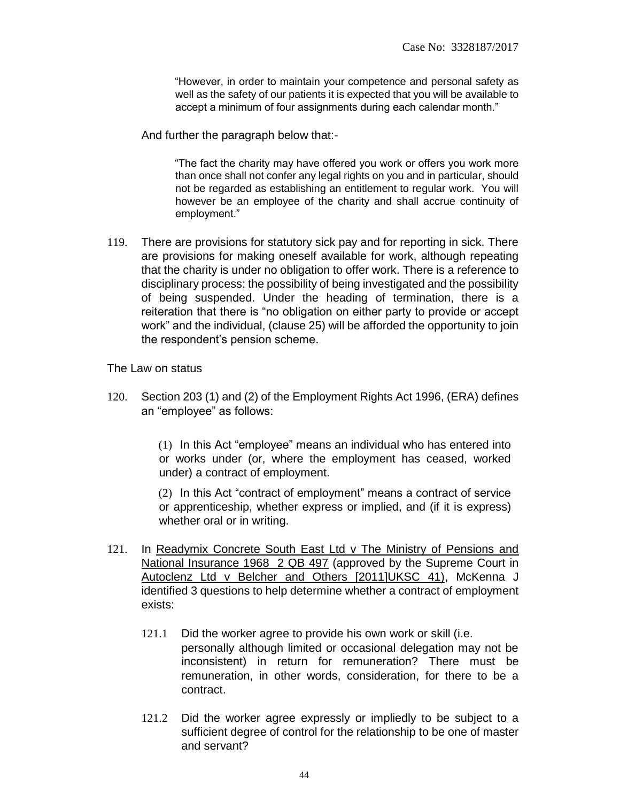"However, in order to maintain your competence and personal safety as well as the safety of our patients it is expected that you will be available to accept a minimum of four assignments during each calendar month."

And further the paragraph below that:-

"The fact the charity may have offered you work or offers you work more than once shall not confer any legal rights on you and in particular, should not be regarded as establishing an entitlement to regular work. You will however be an employee of the charity and shall accrue continuity of employment."

119. There are provisions for statutory sick pay and for reporting in sick. There are provisions for making oneself available for work, although repeating that the charity is under no obligation to offer work. There is a reference to disciplinary process: the possibility of being investigated and the possibility of being suspended. Under the heading of termination, there is a reiteration that there is "no obligation on either party to provide or accept work" and the individual, (clause 25) will be afforded the opportunity to join the respondent's pension scheme.

The Law on status

120. Section 203 (1) and (2) of the Employment Rights Act 1996, (ERA) defines an "employee" as follows:

> (1) In this Act "employee" means an individual who has entered into or works under (or, where the employment has ceased, worked under) a contract of employment.

> (2) In this Act "contract of employment" means a contract of service or apprenticeship, whether express or implied, and (if it is express) whether oral or in writing.

- 121. In Readymix Concrete South East Ltd v The Ministry of Pensions and National Insurance 1968 2 QB 497 (approved by the Supreme Court in Autoclenz Ltd v Belcher and Others [2011]UKSC 41), McKenna J identified 3 questions to help determine whether a contract of employment exists:
	- 121.1 Did the worker agree to provide his own work or skill (i.e. personally although limited or occasional delegation may not be inconsistent) in return for remuneration? There must be remuneration, in other words, consideration, for there to be a contract.
	- 121.2 Did the worker agree expressly or impliedly to be subject to a sufficient degree of control for the relationship to be one of master and servant?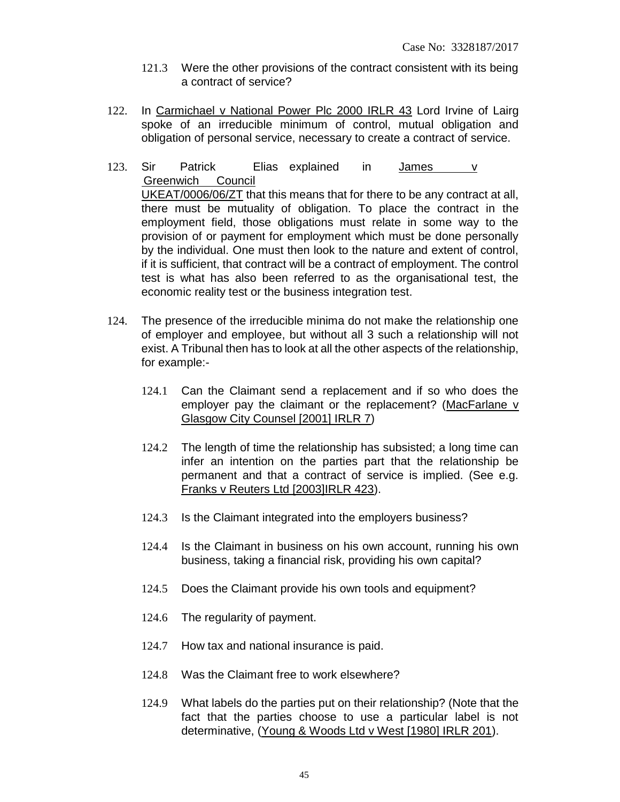- 121.3 Were the other provisions of the contract consistent with its being a contract of service?
- 122. In Carmichael v National Power Plc 2000 IRLR 43 Lord Irvine of Lairg spoke of an irreducible minimum of control, mutual obligation and obligation of personal service, necessary to create a contract of service.
- 123. Sir Patrick Elias explained in  $James$  v Greenwich Council UKEAT/0006/06/ZT that this means that for there to be any contract at all, there must be mutuality of obligation. To place the contract in the employment field, those obligations must relate in some way to the provision of or payment for employment which must be done personally by the individual. One must then look to the nature and extent of control, if it is sufficient, that contract will be a contract of employment. The control test is what has also been referred to as the organisational test, the economic reality test or the business integration test.
- 124. The presence of the irreducible minima do not make the relationship one of employer and employee, but without all 3 such a relationship will not exist. A Tribunal then has to look at all the other aspects of the relationship, for example:-
	- 124.1 Can the Claimant send a replacement and if so who does the employer pay the claimant or the replacement? (MacFarlane v Glasgow City Counsel [2001] IRLR 7)
	- 124.2 The length of time the relationship has subsisted; a long time can infer an intention on the parties part that the relationship be permanent and that a contract of service is implied. (See e.g. Franks v Reuters Ltd [2003]IRLR 423).
	- 124.3 Is the Claimant integrated into the employers business?
	- 124.4 Is the Claimant in business on his own account, running his own business, taking a financial risk, providing his own capital?
	- 124.5 Does the Claimant provide his own tools and equipment?
	- 124.6 The regularity of payment.
	- 124.7 How tax and national insurance is paid.
	- 124.8 Was the Claimant free to work elsewhere?
	- 124.9 What labels do the parties put on their relationship? (Note that the fact that the parties choose to use a particular label is not determinative, (Young & Woods Ltd v West [1980] IRLR 201).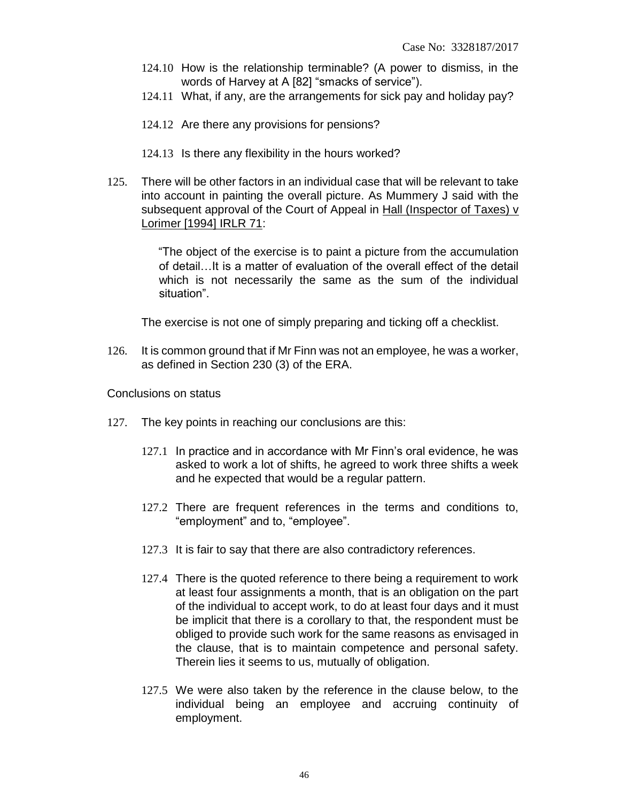- 124.10 How is the relationship terminable? (A power to dismiss, in the words of Harvey at A [82] "smacks of service").
- 124.11 What, if any, are the arrangements for sick pay and holiday pay?
- 124.12 Are there any provisions for pensions?
- 124.13 Is there any flexibility in the hours worked?
- 125. There will be other factors in an individual case that will be relevant to take into account in painting the overall picture. As Mummery J said with the subsequent approval of the Court of Appeal in Hall (Inspector of Taxes) v Lorimer [1994] IRLR 71:

"The object of the exercise is to paint a picture from the accumulation of detail…It is a matter of evaluation of the overall effect of the detail which is not necessarily the same as the sum of the individual situation".

The exercise is not one of simply preparing and ticking off a checklist.

126. It is common ground that if Mr Finn was not an employee, he was a worker, as defined in Section 230 (3) of the ERA.

Conclusions on status

- 127. The key points in reaching our conclusions are this:
	- 127.1 In practice and in accordance with Mr Finn's oral evidence, he was asked to work a lot of shifts, he agreed to work three shifts a week and he expected that would be a regular pattern.
	- 127.2 There are frequent references in the terms and conditions to, "employment" and to, "employee".
	- 127.3 It is fair to say that there are also contradictory references.
	- 127.4 There is the quoted reference to there being a requirement to work at least four assignments a month, that is an obligation on the part of the individual to accept work, to do at least four days and it must be implicit that there is a corollary to that, the respondent must be obliged to provide such work for the same reasons as envisaged in the clause, that is to maintain competence and personal safety. Therein lies it seems to us, mutually of obligation.
	- 127.5 We were also taken by the reference in the clause below, to the individual being an employee and accruing continuity of employment.